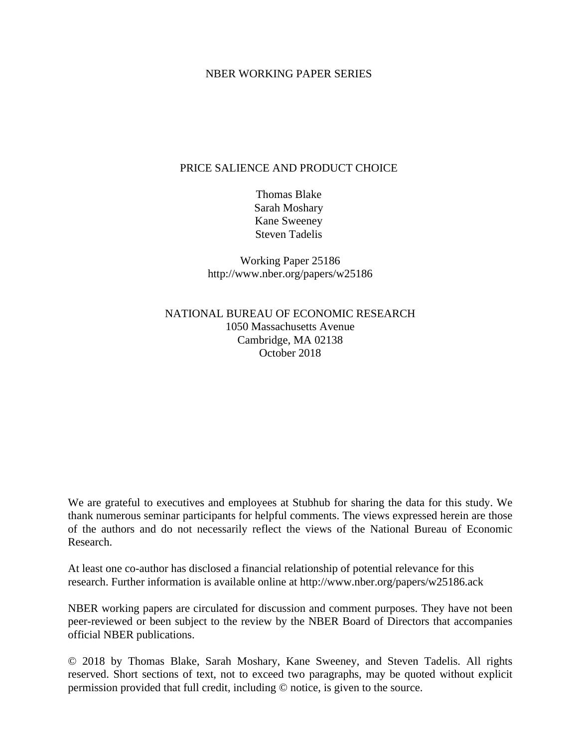#### NBER WORKING PAPER SERIES

#### PRICE SALIENCE AND PRODUCT CHOICE

Thomas Blake Sarah Moshary Kane Sweeney Steven Tadelis

Working Paper 25186 http://www.nber.org/papers/w25186

NATIONAL BUREAU OF ECONOMIC RESEARCH 1050 Massachusetts Avenue Cambridge, MA 02138 October 2018

We are grateful to executives and employees at Stubhub for sharing the data for this study. We thank numerous seminar participants for helpful comments. The views expressed herein are those of the authors and do not necessarily reflect the views of the National Bureau of Economic Research.

At least one co-author has disclosed a financial relationship of potential relevance for this research. Further information is available online at http://www.nber.org/papers/w25186.ack

NBER working papers are circulated for discussion and comment purposes. They have not been peer-reviewed or been subject to the review by the NBER Board of Directors that accompanies official NBER publications.

© 2018 by Thomas Blake, Sarah Moshary, Kane Sweeney, and Steven Tadelis. All rights reserved. Short sections of text, not to exceed two paragraphs, may be quoted without explicit permission provided that full credit, including © notice, is given to the source.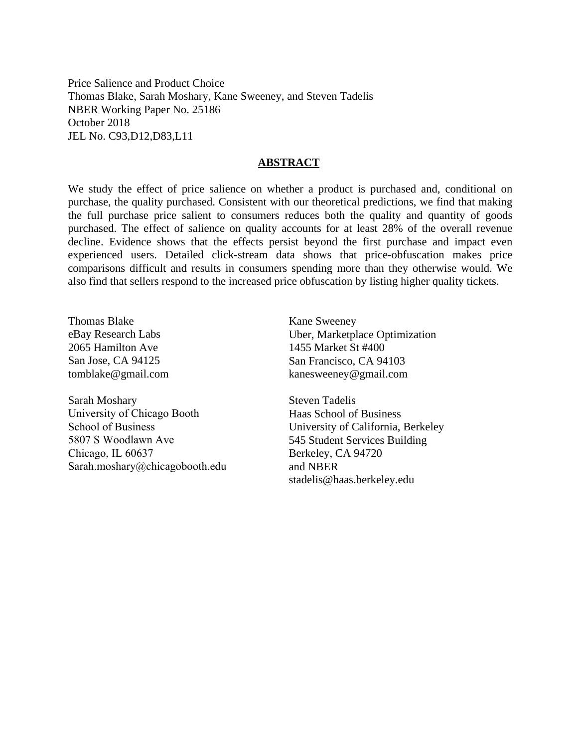Price Salience and Product Choice Thomas Blake, Sarah Moshary, Kane Sweeney, and Steven Tadelis NBER Working Paper No. 25186 October 2018 JEL No. C93,D12,D83,L11

#### **ABSTRACT**

We study the effect of price salience on whether a product is purchased and, conditional on purchase, the quality purchased. Consistent with our theoretical predictions, we find that making the full purchase price salient to consumers reduces both the quality and quantity of goods purchased. The effect of salience on quality accounts for at least 28% of the overall revenue decline. Evidence shows that the effects persist beyond the first purchase and impact even experienced users. Detailed click-stream data shows that price-obfuscation makes price comparisons difficult and results in consumers spending more than they otherwise would. We also find that sellers respond to the increased price obfuscation by listing higher quality tickets.

Thomas Blake eBay Research Labs 2065 Hamilton Ave San Jose, CA 94125 tomblake@gmail.com

Sarah Moshary University of Chicago Booth School of Business 5807 S Woodlawn Ave Chicago, IL 60637 Sarah.moshary@chicagobooth.edu Kane Sweeney Uber, Marketplace Optimization 1455 Market St #400 San Francisco, CA 94103 kanesweeney@gmail.com

Steven Tadelis Haas School of Business University of California, Berkeley 545 Student Services Building Berkeley, CA 94720 and NBER stadelis@haas.berkeley.edu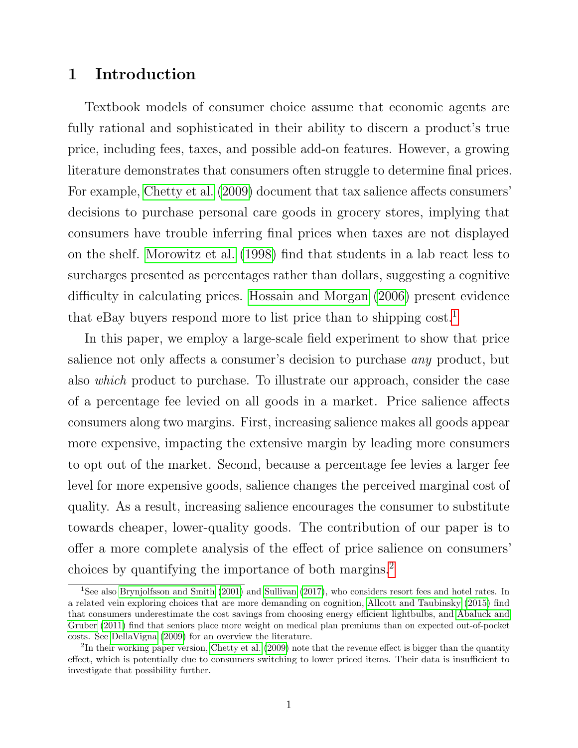# 1 Introduction

Textbook models of consumer choice assume that economic agents are fully rational and sophisticated in their ability to discern a product's true price, including fees, taxes, and possible add-on features. However, a growing literature demonstrates that consumers often struggle to determine final prices. For example, [Chetty et al.](#page-36-0) [\(2009\)](#page-36-0) document that tax salience affects consumers' decisions to purchase personal care goods in grocery stores, implying that consumers have trouble inferring final prices when taxes are not displayed on the shelf. [Morowitz et al.](#page-37-0) [\(1998\)](#page-37-0) find that students in a lab react less to surcharges presented as percentages rather than dollars, suggesting a cognitive difficulty in calculating prices. [Hossain and Morgan](#page-37-1) [\(2006\)](#page-37-1) present evidence that eBay buyers respond more to list price than to shipping  $\text{cost}^1$  $\text{cost}^1$ .

In this paper, we employ a large-scale field experiment to show that price salience not only affects a consumer's decision to purchase any product, but also which product to purchase. To illustrate our approach, consider the case of a percentage fee levied on all goods in a market. Price salience affects consumers along two margins. First, increasing salience makes all goods appear more expensive, impacting the extensive margin by leading more consumers to opt out of the market. Second, because a percentage fee levies a larger fee level for more expensive goods, salience changes the perceived marginal cost of quality. As a result, increasing salience encourages the consumer to substitute towards cheaper, lower-quality goods. The contribution of our paper is to offer a more complete analysis of the effect of price salience on consumers' choices by quantifying the importance of both margins.[2](#page-2-1)

<span id="page-2-0"></span><sup>1</sup>See also [Brynjolfsson and Smith](#page-36-1) [\(2001\)](#page-36-1) and [Sullivan](#page-37-2) [\(2017\)](#page-37-2), who considers resort fees and hotel rates. In a related vein exploring choices that are more demanding on cognition, [Allcott and Taubinsky](#page-36-2) [\(2015\)](#page-36-2) find that consumers underestimate the cost savings from choosing energy efficient lightbulbs, and [Abaluck and](#page-36-3) [Gruber](#page-36-3) [\(2011\)](#page-36-3) find that seniors place more weight on medical plan premiums than on expected out-of-pocket costs. See [DellaVigna](#page-36-4) [\(2009\)](#page-36-4) for an overview the literature.

<span id="page-2-1"></span><sup>&</sup>lt;sup>2</sup>In their working paper version, [Chetty et al.](#page-36-0) [\(2009\)](#page-36-0) note that the revenue effect is bigger than the quantity effect, which is potentially due to consumers switching to lower priced items. Their data is insufficient to investigate that possibility further.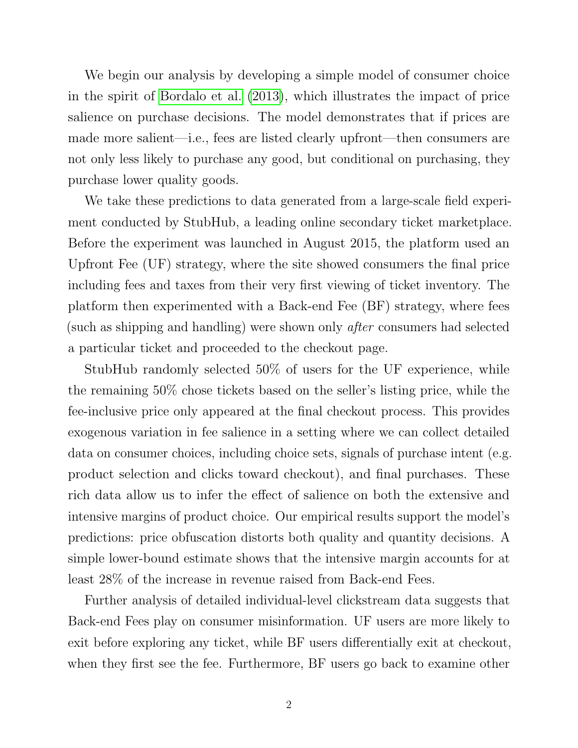We begin our analysis by developing a simple model of consumer choice in the spirit of [Bordalo et al.](#page-36-5) [\(2013\)](#page-36-5), which illustrates the impact of price salience on purchase decisions. The model demonstrates that if prices are made more salient—i.e., fees are listed clearly upfront—then consumers are not only less likely to purchase any good, but conditional on purchasing, they purchase lower quality goods.

We take these predictions to data generated from a large-scale field experiment conducted by StubHub, a leading online secondary ticket marketplace. Before the experiment was launched in August 2015, the platform used an Upfront Fee (UF) strategy, where the site showed consumers the final price including fees and taxes from their very first viewing of ticket inventory. The platform then experimented with a Back-end Fee (BF) strategy, where fees (such as shipping and handling) were shown only after consumers had selected a particular ticket and proceeded to the checkout page.

StubHub randomly selected 50% of users for the UF experience, while the remaining 50% chose tickets based on the seller's listing price, while the fee-inclusive price only appeared at the final checkout process. This provides exogenous variation in fee salience in a setting where we can collect detailed data on consumer choices, including choice sets, signals of purchase intent (e.g. product selection and clicks toward checkout), and final purchases. These rich data allow us to infer the effect of salience on both the extensive and intensive margins of product choice. Our empirical results support the model's predictions: price obfuscation distorts both quality and quantity decisions. A simple lower-bound estimate shows that the intensive margin accounts for at least 28% of the increase in revenue raised from Back-end Fees.

Further analysis of detailed individual-level clickstream data suggests that Back-end Fees play on consumer misinformation. UF users are more likely to exit before exploring any ticket, while BF users differentially exit at checkout, when they first see the fee. Furthermore, BF users go back to examine other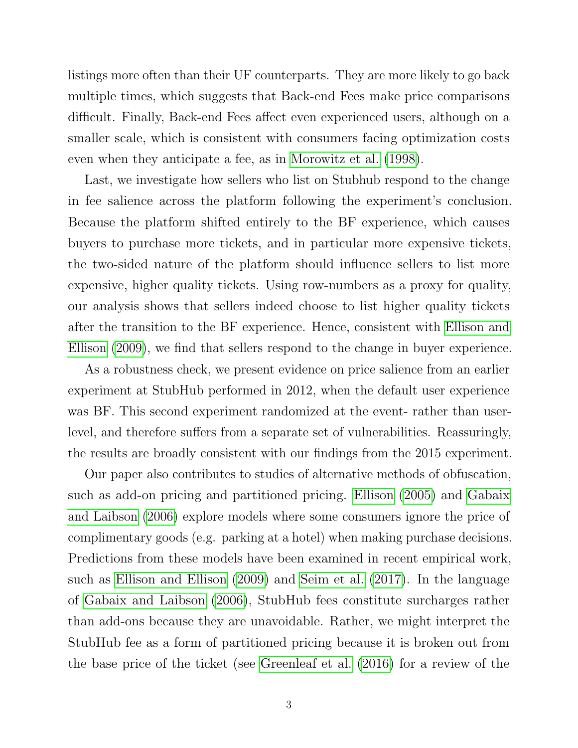listings more often than their UF counterparts. They are more likely to go back multiple times, which suggests that Back-end Fees make price comparisons difficult. Finally, Back-end Fees affect even experienced users, although on a smaller scale, which is consistent with consumers facing optimization costs even when they anticipate a fee, as in [Morowitz et al.](#page-37-0) [\(1998\)](#page-37-0).

Last, we investigate how sellers who list on Stubhub respond to the change in fee salience across the platform following the experiment's conclusion. Because the platform shifted entirely to the BF experience, which causes buyers to purchase more tickets, and in particular more expensive tickets, the two-sided nature of the platform should influence sellers to list more expensive, higher quality tickets. Using row-numbers as a proxy for quality, our analysis shows that sellers indeed choose to list higher quality tickets after the transition to the BF experience. Hence, consistent with [Ellison and](#page-36-6) [Ellison](#page-36-6) [\(2009\)](#page-36-6), we find that sellers respond to the change in buyer experience.

As a robustness check, we present evidence on price salience from an earlier experiment at StubHub performed in 2012, when the default user experience was BF. This second experiment randomized at the event- rather than userlevel, and therefore suffers from a separate set of vulnerabilities. Reassuringly, the results are broadly consistent with our findings from the 2015 experiment.

Our paper also contributes to studies of alternative methods of obfuscation, such as add-on pricing and partitioned pricing. [Ellison](#page-36-7) [\(2005\)](#page-36-7) and [Gabaix](#page-36-8) [and Laibson](#page-36-8) [\(2006\)](#page-36-8) explore models where some consumers ignore the price of complimentary goods (e.g. parking at a hotel) when making purchase decisions. Predictions from these models have been examined in recent empirical work, such as [Ellison and Ellison](#page-36-6) [\(2009\)](#page-36-6) and [Seim et al.](#page-37-3) [\(2017\)](#page-37-3). In the language of [Gabaix and Laibson](#page-36-8) [\(2006\)](#page-36-8), StubHub fees constitute surcharges rather than add-ons because they are unavoidable. Rather, we might interpret the StubHub fee as a form of partitioned pricing because it is broken out from the base price of the ticket (see [Greenleaf et al.](#page-37-4) [\(2016\)](#page-37-4) for a review of the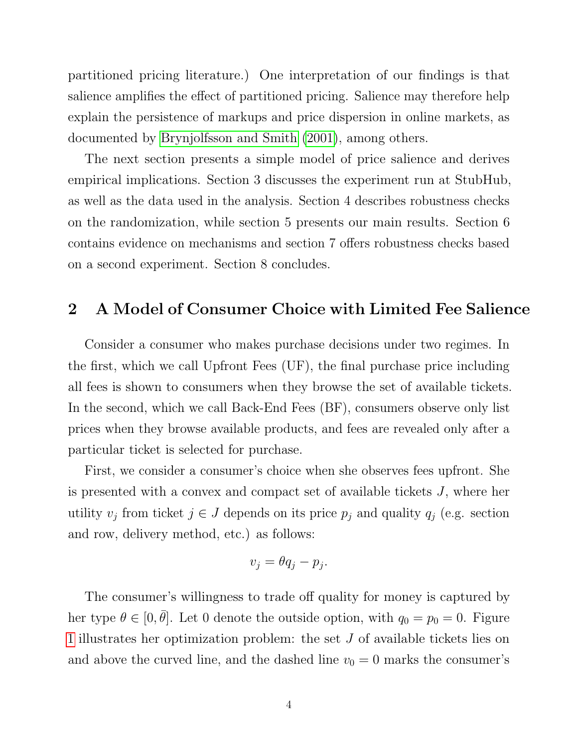partitioned pricing literature.) One interpretation of our findings is that salience amplifies the effect of partitioned pricing. Salience may therefore help explain the persistence of markups and price dispersion in online markets, as documented by [Brynjolfsson and Smith](#page-36-1) [\(2001\)](#page-36-1), among others.

The next section presents a simple model of price salience and derives empirical implications. Section 3 discusses the experiment run at StubHub, as well as the data used in the analysis. Section 4 describes robustness checks on the randomization, while section 5 presents our main results. Section 6 contains evidence on mechanisms and section 7 offers robustness checks based on a second experiment. Section 8 concludes.

## 2 A Model of Consumer Choice with Limited Fee Salience

Consider a consumer who makes purchase decisions under two regimes. In the first, which we call Upfront Fees (UF), the final purchase price including all fees is shown to consumers when they browse the set of available tickets. In the second, which we call Back-End Fees (BF), consumers observe only list prices when they browse available products, and fees are revealed only after a particular ticket is selected for purchase.

First, we consider a consumer's choice when she observes fees upfront. She is presented with a convex and compact set of available tickets J, where her utility  $v_j$  from ticket  $j \in J$  depends on its price  $p_j$  and quality  $q_j$  (e.g. section and row, delivery method, etc.) as follows:

$$
v_j = \theta q_j - p_j.
$$

The consumer's willingness to trade off quality for money is captured by her type  $\theta \in [0, \bar{\theta}]$ . Let 0 denote the outside option, with  $q_0 = p_0 = 0$ . Figure [1](#page-6-0) illustrates her optimization problem: the set J of available tickets lies on and above the curved line, and the dashed line  $v_0 = 0$  marks the consumer's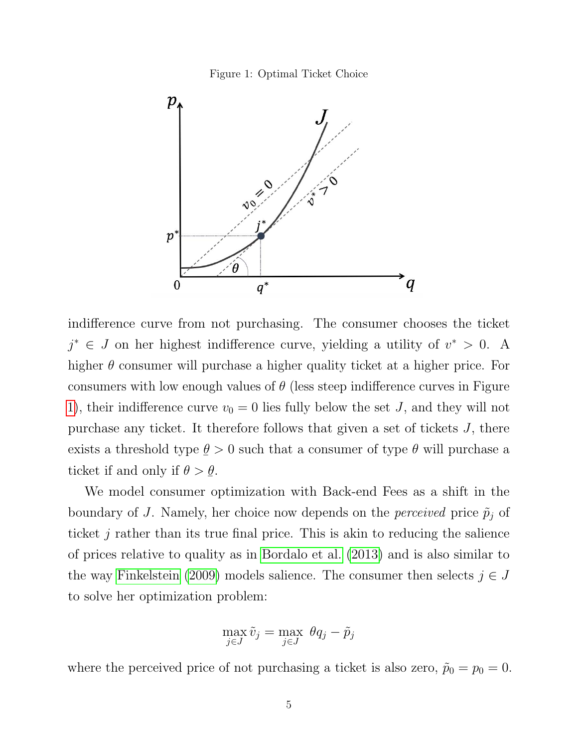Figure 1: Optimal Ticket Choice

<span id="page-6-0"></span>

indifference curve from not purchasing. The consumer chooses the ticket  $j^* \in J$  on her highest indifference curve, yielding a utility of  $v^* > 0$ . A higher  $\theta$  consumer will purchase a higher quality ticket at a higher price. For consumers with low enough values of  $\theta$  (less steep indifference curves in Figure [1\)](#page-6-0), their indifference curve  $v_0 = 0$  lies fully below the set J, and they will not purchase any ticket. It therefore follows that given a set of tickets J, there exists a threshold type  $\leq$  $\theta > 0$  such that a consumer of type  $\theta$  will purchase a ticket if and only if  $\theta >$  $\frac{6}{1}$  $\theta$ .

We model consumer optimization with Back-end Fees as a shift in the boundary of J. Namely, her choice now depends on the *perceived* price  $\tilde{p}_j$  of ticket  $j$  rather than its true final price. This is akin to reducing the salience of prices relative to quality as in [Bordalo et al.](#page-36-5) [\(2013\)](#page-36-5) and is also similar to the way [Finkelstein](#page-36-9) [\(2009\)](#page-36-9) models salience. The consumer then selects  $j \in J$ to solve her optimization problem:

$$
\max_{j \in J} \tilde{v}_j = \max_{j \in J} \ \theta q_j - \tilde{p}_j
$$

where the perceived price of not purchasing a ticket is also zero,  $\tilde{p}_0 = p_0 = 0$ .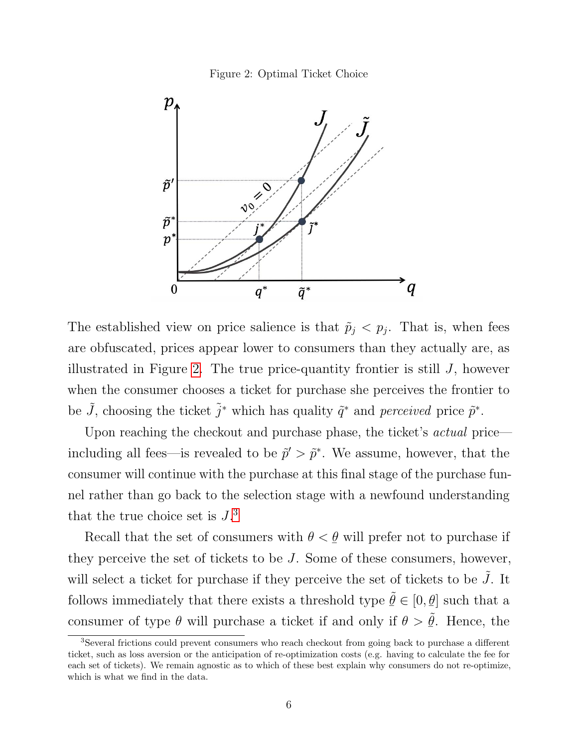

<span id="page-7-0"></span>

The established view on price salience is that  $\tilde{p}_j < p_j$ . That is, when fees are obfuscated, prices appear lower to consumers than they actually are, as illustrated in Figure [2.](#page-7-0) The true price-quantity frontier is still  $J$ , however when the consumer chooses a ticket for purchase she perceives the frontier to be  $\tilde{J}$ , choosing the ticket  $\tilde{j}^*$  which has quality  $\tilde{q}^*$  and *perceived* price  $\tilde{p}^*$ .

Upon reaching the checkout and purchase phase, the ticket's *actual* price including all fees—is revealed to be  $\tilde{p}' > \tilde{p}^*$ . We assume, however, that the consumer will continue with the purchase at this final stage of the purchase funnel rather than go back to the selection stage with a newfound understanding that the true choice set is  $J^3$  $J^3$ .

Recall that the set of consumers with  $\theta$  <  $\frac{6}{1}$  $\theta$  will prefer not to purchase if they perceive the set of tickets to be J. Some of these consumers, however, will select a ticket for purchase if they perceive the set of tickets to be  $\tilde{J}$ . It follows immediately that there exists a threshold type  $\tilde{\theta} \in [0, \theta]$  such that a  $\frac{6}{10}$   $\frac{6}{10}$   $\frac{6}{10}$   $\frac{6}{10}$ consumer of type  $\theta$  will purchase a ticket if and only if  $\theta$  >  $\leq$  $\tilde{\theta}$ . Hence, the

<span id="page-7-1"></span><sup>3</sup>Several frictions could prevent consumers who reach checkout from going back to purchase a different ticket, such as loss aversion or the anticipation of re-optimization costs (e.g. having to calculate the fee for each set of tickets). We remain agnostic as to which of these best explain why consumers do not re-optimize, which is what we find in the data.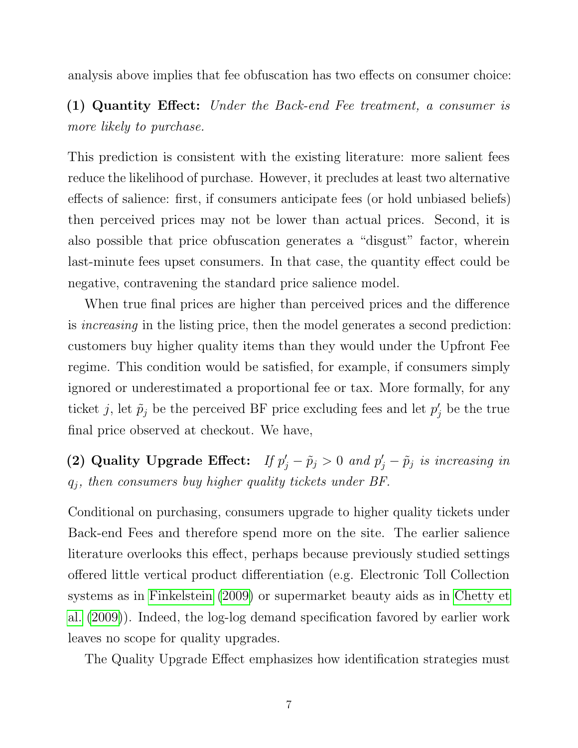analysis above implies that fee obfuscation has two effects on consumer choice:

(1) Quantity Effect: Under the Back-end Fee treatment, a consumer is more likely to purchase.

This prediction is consistent with the existing literature: more salient fees reduce the likelihood of purchase. However, it precludes at least two alternative effects of salience: first, if consumers anticipate fees (or hold unbiased beliefs) then perceived prices may not be lower than actual prices. Second, it is also possible that price obfuscation generates a "disgust" factor, wherein last-minute fees upset consumers. In that case, the quantity effect could be negative, contravening the standard price salience model.

When true final prices are higher than perceived prices and the difference is increasing in the listing price, then the model generates a second prediction: customers buy higher quality items than they would under the Upfront Fee regime. This condition would be satisfied, for example, if consumers simply ignored or underestimated a proportional fee or tax. More formally, for any ticket j, let  $\tilde{p}_j$  be the perceived BF price excluding fees and let  $p'_j$  be the true final price observed at checkout. We have,

(2) Quality Upgrade Effect: If  $p'_j - \tilde{p}_j > 0$  and  $p'_j - \tilde{p}_j$  is increasing in  $q_j$ , then consumers buy higher quality tickets under BF.

Conditional on purchasing, consumers upgrade to higher quality tickets under Back-end Fees and therefore spend more on the site. The earlier salience literature overlooks this effect, perhaps because previously studied settings offered little vertical product differentiation (e.g. Electronic Toll Collection systems as in [Finkelstein](#page-36-9) [\(2009\)](#page-36-9) or supermarket beauty aids as in [Chetty et](#page-36-0) [al.](#page-36-0) [\(2009\)](#page-36-0)). Indeed, the log-log demand specification favored by earlier work leaves no scope for quality upgrades.

The Quality Upgrade Effect emphasizes how identification strategies must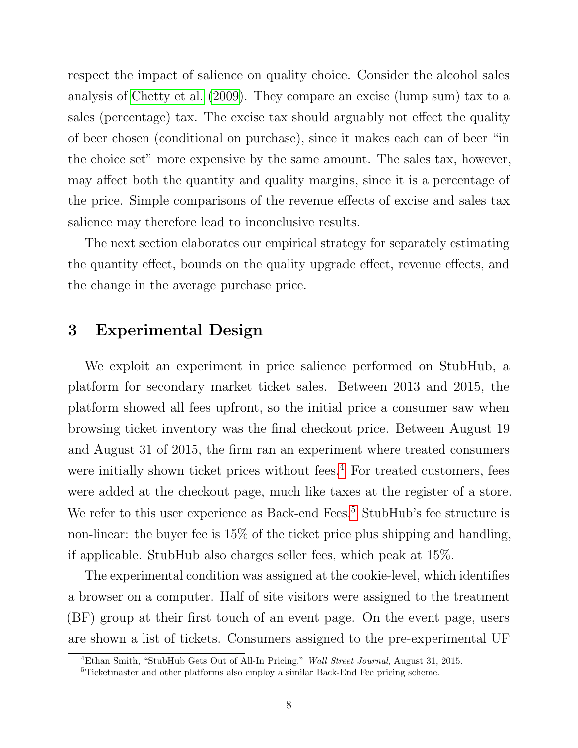respect the impact of salience on quality choice. Consider the alcohol sales analysis of [Chetty et al.](#page-36-0) [\(2009\)](#page-36-0). They compare an excise (lump sum) tax to a sales (percentage) tax. The excise tax should arguably not effect the quality of beer chosen (conditional on purchase), since it makes each can of beer "in the choice set" more expensive by the same amount. The sales tax, however, may affect both the quantity and quality margins, since it is a percentage of the price. Simple comparisons of the revenue effects of excise and sales tax salience may therefore lead to inconclusive results.

The next section elaborates our empirical strategy for separately estimating the quantity effect, bounds on the quality upgrade effect, revenue effects, and the change in the average purchase price.

# 3 Experimental Design

We exploit an experiment in price salience performed on StubHub, a platform for secondary market ticket sales. Between 2013 and 2015, the platform showed all fees upfront, so the initial price a consumer saw when browsing ticket inventory was the final checkout price. Between August 19 and August 31 of 2015, the firm ran an experiment where treated consumers were initially shown ticket prices without fees.<sup>[4](#page-9-0)</sup> For treated customers, fees were added at the checkout page, much like taxes at the register of a store. We refer to this user experience as Back-end Fees.<sup>[5](#page-9-1)</sup> StubHub's fee structure is non-linear: the buyer fee is 15% of the ticket price plus shipping and handling, if applicable. StubHub also charges seller fees, which peak at 15%.

The experimental condition was assigned at the cookie-level, which identifies a browser on a computer. Half of site visitors were assigned to the treatment (BF) group at their first touch of an event page. On the event page, users are shown a list of tickets. Consumers assigned to the pre-experimental UF

<span id="page-9-0"></span><sup>&</sup>lt;sup>4</sup>Ethan Smith, "StubHub Gets Out of All-In Pricing." Wall Street Journal, August 31, 2015.

<span id="page-9-1"></span><sup>5</sup>Ticketmaster and other platforms also employ a similar Back-End Fee pricing scheme.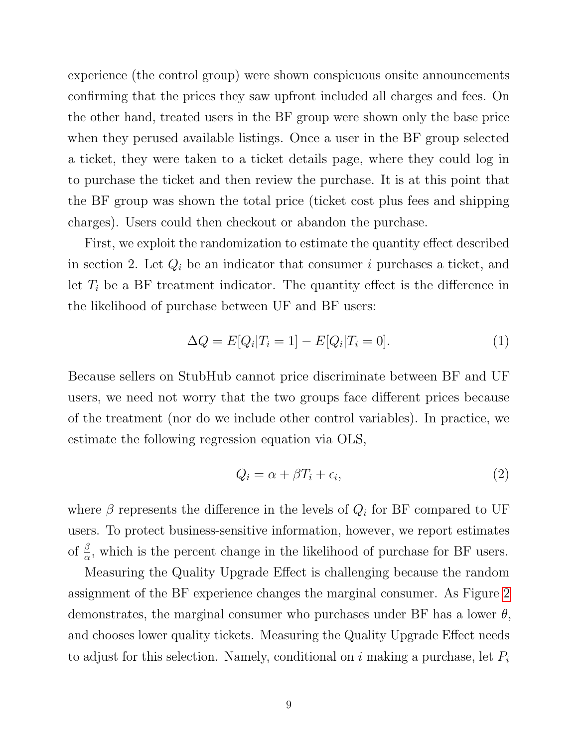experience (the control group) were shown conspicuous onsite announcements confirming that the prices they saw upfront included all charges and fees. On the other hand, treated users in the BF group were shown only the base price when they perused available listings. Once a user in the BF group selected a ticket, they were taken to a ticket details page, where they could log in to purchase the ticket and then review the purchase. It is at this point that the BF group was shown the total price (ticket cost plus fees and shipping charges). Users could then checkout or abandon the purchase.

First, we exploit the randomization to estimate the quantity effect described in section 2. Let  $Q_i$  be an indicator that consumer i purchases a ticket, and let  $T_i$  be a BF treatment indicator. The quantity effect is the difference in the likelihood of purchase between UF and BF users:

<span id="page-10-1"></span>
$$
\Delta Q = E[Q_i | T_i = 1] - E[Q_i | T_i = 0]. \tag{1}
$$

Because sellers on StubHub cannot price discriminate between BF and UF users, we need not worry that the two groups face different prices because of the treatment (nor do we include other control variables). In practice, we estimate the following regression equation via OLS,

<span id="page-10-0"></span>
$$
Q_i = \alpha + \beta T_i + \epsilon_i,\tag{2}
$$

where  $\beta$  represents the difference in the levels of  $Q_i$  for BF compared to UF users. To protect business-sensitive information, however, we report estimates of  $\frac{\beta}{\alpha}$ , which is the percent change in the likelihood of purchase for BF users.

Measuring the Quality Upgrade Effect is challenging because the random assignment of the BF experience changes the marginal consumer. As Figure [2](#page-7-0) demonstrates, the marginal consumer who purchases under BF has a lower  $\theta$ , and chooses lower quality tickets. Measuring the Quality Upgrade Effect needs to adjust for this selection. Namely, conditional on  $i$  making a purchase, let  $P_i$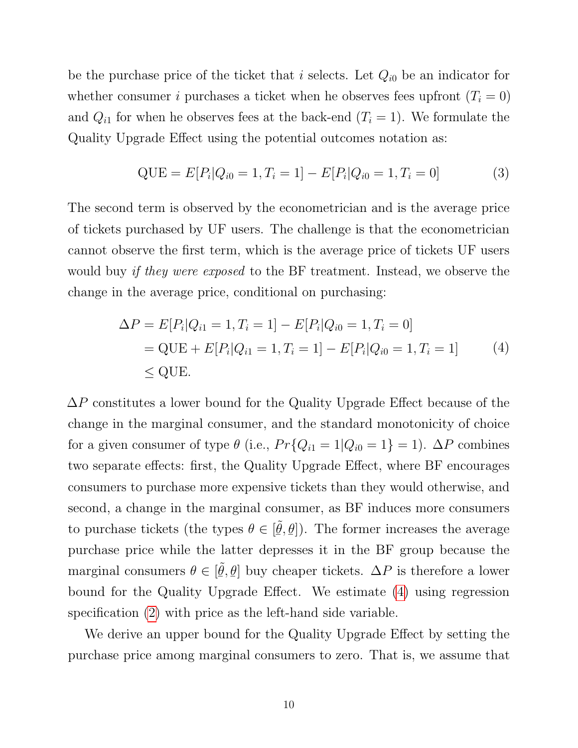be the purchase price of the ticket that i selects. Let  $Q_{i0}$  be an indicator for whether consumer i purchases a ticket when he observes fees upfront  $(T<sub>i</sub> = 0)$ and  $Q_{i1}$  for when he observes fees at the back-end  $(T_i = 1)$ . We formulate the Quality Upgrade Effect using the potential outcomes notation as:

$$
QUE = E[P_i|Q_{i0} = 1, T_i = 1] - E[P_i|Q_{i0} = 1, T_i = 0]
$$
\n(3)

The second term is observed by the econometrician and is the average price of tickets purchased by UF users. The challenge is that the econometrician cannot observe the first term, which is the average price of tickets UF users would buy *if they were exposed* to the BF treatment. Instead, we observe the change in the average price, conditional on purchasing:

<span id="page-11-0"></span>
$$
\Delta P = E[P_i|Q_{i1} = 1, T_i = 1] - E[P_i|Q_{i0} = 1, T_i = 0]
$$
  
= QUE + E[P\_i|Q\_{i1} = 1, T\_i = 1] - E[P\_i|Q\_{i0} = 1, T\_i = 1] (4)  

$$
\leq
$$
 QUE.

 $\Delta P$  constitutes a lower bound for the Quality Upgrade Effect because of the change in the marginal consumer, and the standard monotonicity of choice for a given consumer of type  $\theta$  (i.e.,  $Pr\{Q_{i1} = 1 | Q_{i0} = 1\} = 1$ ).  $\Delta P$  combines two separate effects: first, the Quality Upgrade Effect, where BF encourages consumers to purchase more expensive tickets than they would otherwise, and second, a change in the marginal consumer, as BF induces more consumers to purchase tickets (the types  $\theta \in$  [ .u<br>U  $\tilde{\theta},$  $\frac{6}{1}$  $\lfloor \underline{\theta} \rfloor$ ). The former increases the average purchase price while the latter depresses it in the BF group because the marginal consumers  $\theta \in [$ ¯  $\tilde{\theta},$  $\leq$  $\theta$  buy cheaper tickets.  $\Delta P$  is therefore a lower bound for the Quality Upgrade Effect. We estimate [\(4\)](#page-11-0) using regression specification [\(2\)](#page-10-0) with price as the left-hand side variable.

We derive an upper bound for the Quality Upgrade Effect by setting the purchase price among marginal consumers to zero. That is, we assume that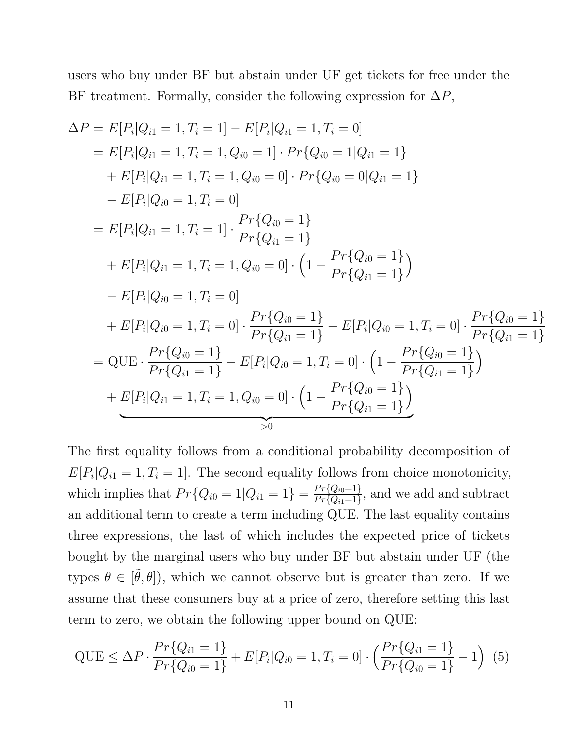users who buy under BF but abstain under UF get tickets for free under the BF treatment. Formally, consider the following expression for  $\Delta P$ ,

$$
\Delta P = E[P_i|Q_{i1} = 1, T_i = 1] - E[P_i|Q_{i1} = 1, T_i = 0]
$$
  
\n
$$
= E[P_i|Q_{i1} = 1, T_i = 1, Q_{i0} = 1] \cdot Pr\{Q_{i0} = 1|Q_{i1} = 1\}
$$
  
\n
$$
+ E[P_i|Q_{i1} = 1, T_i = 1, Q_{i0} = 0] \cdot Pr\{Q_{i0} = 0|Q_{i1} = 1\}
$$
  
\n
$$
- E[P_i|Q_{i0} = 1, T_i = 0]
$$
  
\n
$$
= E[P_i|Q_{i1} = 1, T_i = 1] \cdot \frac{Pr\{Q_{i0} = 1\}}{Pr\{Q_{i1} = 1\}}
$$
  
\n
$$
+ E[P_i|Q_{i1} = 1, T_i = 1, Q_{i0} = 0] \cdot \left(1 - \frac{Pr\{Q_{i0} = 1\}}{Pr\{Q_{i1} = 1\}}\right)
$$
  
\n
$$
- E[P_i|Q_{i0} = 1, T_i = 0]
$$
  
\n
$$
+ E[P_i|Q_{i0} = 1, T_i = 0] \cdot \frac{Pr\{Q_{i0} = 1\}}{Pr\{Q_{i1} = 1\}} - E[P_i|Q_{i0} = 1, T_i = 0] \cdot \frac{Pr\{Q_{i0} = 1\}}{Pr\{Q_{i1} = 1\}}
$$
  
\n
$$
= QUE \cdot \frac{Pr\{Q_{i0} = 1\}}{Pr\{Q_{i1} = 1\}} - E[P_i|Q_{i0} = 1, T_i = 0] \cdot \left(1 - \frac{Pr\{Q_{i0} = 1\}}{Pr\{Q_{i1} = 1\}}\right)
$$
  
\n
$$
+ E[P_i|Q_{i1} = 1, T_i = 1, Q_{i0} = 0] \cdot \left(1 - \frac{Pr\{Q_{i0} = 1\}}{Pr\{Q_{i1} = 1\}}\right)
$$

The first equality follows from a conditional probability decomposition of  $E[P_i|Q_{i1} = 1, T_i = 1]$ . The second equality follows from choice monotonicity, which implies that  $Pr\{Q_{i0} = 1 | Q_{i1} = 1\} = \frac{Pr\{Q_{i0} = 1\}}{Pr\{Q_{i1} = 1\}}$  $\frac{Pr{Q_{i0}=1}}{Pr{Q_{i1}=1}}$ , and we add and subtract an additional term to create a term including QUE. The last equality contains three expressions, the last of which includes the expected price of tickets bought by the marginal users who buy under BF but abstain under UF (the types  $\theta \in [$  $\frac{6}{1}$  $\tilde{\theta},$  $\frac{6}{1}$  $\langle \underline{\theta} |$ , which we cannot observe but is greater than zero. If we assume that these consumers buy at a price of zero, therefore setting this last term to zero, we obtain the following upper bound on QUE:

<span id="page-12-0"></span>
$$
QUE \leq \Delta P \cdot \frac{Pr\{Q_{i1} = 1\}}{Pr\{Q_{i0} = 1\}} + E[P_i|Q_{i0} = 1, T_i = 0] \cdot \left(\frac{Pr\{Q_{i1} = 1\}}{Pr\{Q_{i0} = 1\}} - 1\right) (5)
$$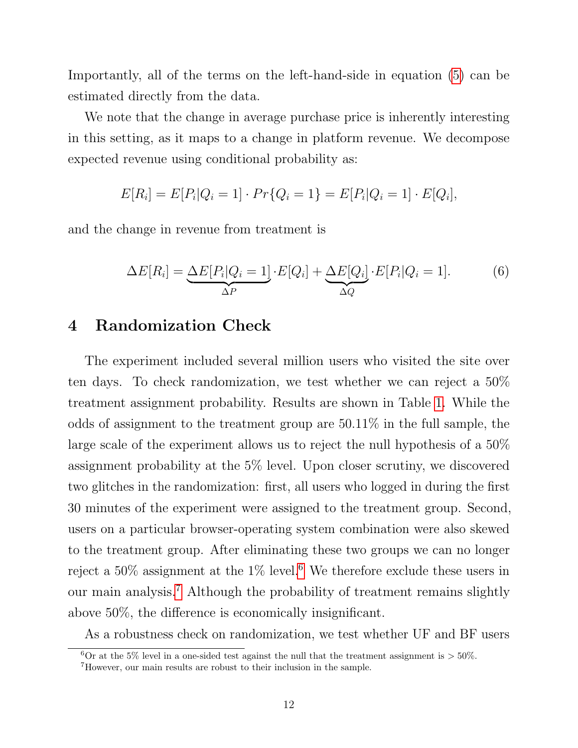Importantly, all of the terms on the left-hand-side in equation [\(5\)](#page-12-0) can be estimated directly from the data.

We note that the change in average purchase price is inherently interesting in this setting, as it maps to a change in platform revenue. We decompose expected revenue using conditional probability as:

$$
E[R_i] = E[P_i|Q_i = 1] \cdot Pr\{Q_i = 1\} = E[P_i|Q_i = 1] \cdot E[Q_i],
$$

and the change in revenue from treatment is

<span id="page-13-2"></span>
$$
\Delta E[R_i] = \underbrace{\Delta E[P_i|Q_i=1]}_{\Delta P} \cdot E[Q_i] + \underbrace{\Delta E[Q_i]}_{\Delta Q} \cdot E[P_i|Q_i=1].
$$
 (6)

# 4 Randomization Check

The experiment included several million users who visited the site over ten days. To check randomization, we test whether we can reject a 50% treatment assignment probability. Results are shown in Table [1.](#page-14-0) While the odds of assignment to the treatment group are 50.11% in the full sample, the large scale of the experiment allows us to reject the null hypothesis of a 50% assignment probability at the 5% level. Upon closer scrutiny, we discovered two glitches in the randomization: first, all users who logged in during the first 30 minutes of the experiment were assigned to the treatment group. Second, users on a particular browser-operating system combination were also skewed to the treatment group. After eliminating these two groups we can no longer reject a  $50\%$  assignment at the  $1\%$  level.<sup>[6](#page-13-0)</sup> We therefore exclude these users in our main analysis.[7](#page-13-1) Although the probability of treatment remains slightly above 50%, the difference is economically insignificant.

As a robustness check on randomization, we test whether UF and BF users

<span id="page-13-0"></span><sup>&</sup>lt;sup>6</sup>Or at the 5% level in a one-sided test against the null that the treatment assignment is  $>$  50%.

<span id="page-13-1"></span><sup>7</sup>However, our main results are robust to their inclusion in the sample.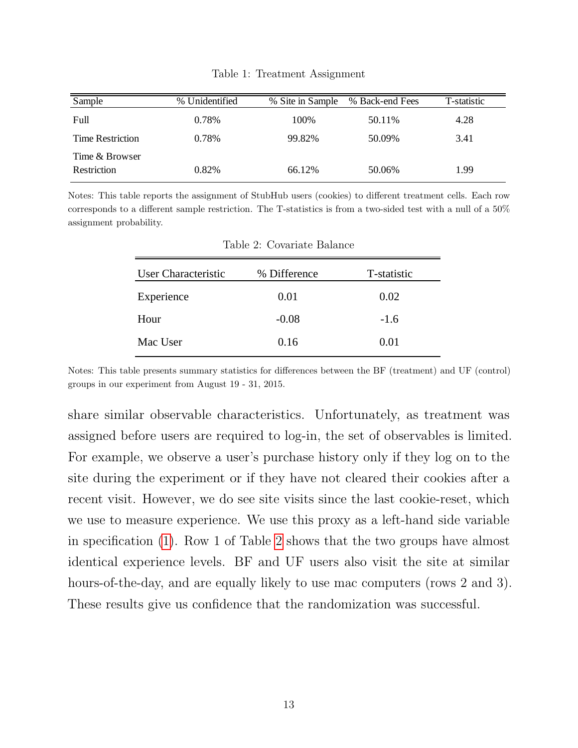<span id="page-14-0"></span>

| Sample                        | % Unidentified | % Site in Sample | % Back-end Fees | T-statistic |
|-------------------------------|----------------|------------------|-----------------|-------------|
| Full                          | 0.78%          | 100%             | 50.11\%         | 4.28        |
| <b>Time Restriction</b>       | 0.78%          | 99.82%           | 50.09%          | 3.41        |
| Time & Browser<br>Restriction | 0.82%          | 66.12%           | 50.06%          | 1.99        |

Table 1: Treatment Assignment

<span id="page-14-1"></span>Notes: This table reports the assignment of StubHub users (cookies) to different treatment cells. Each row corresponds to a different sample restriction. The T-statistics is from a two-sided test with a null of a 50% assignment probability.

| User Characteristic | % Difference | T-statistic |
|---------------------|--------------|-------------|
| Experience          | 0.01         | 0.02        |
| Hour                | $-0.08$      | $-1.6$      |
| Mac User            | 0.16         | 0.01        |

Table 2: Covariate Balance

Notes: This table presents summary statistics for differences between the BF (treatment) and UF (control) groups in our experiment from August 19 - 31, 2015.

share similar observable characteristics. Unfortunately, as treatment was assigned before users are required to log-in, the set of observables is limited. For example, we observe a user's purchase history only if they log on to the site during the experiment or if they have not cleared their cookies after a recent visit. However, we do see site visits since the last cookie-reset, which we use to measure experience. We use this proxy as a left-hand side variable in specification [\(1\)](#page-10-1). Row 1 of Table [2](#page-14-1) shows that the two groups have almost identical experience levels. BF and UF users also visit the site at similar hours-of-the-day, and are equally likely to use mac computers (rows 2 and 3). These results give us confidence that the randomization was successful.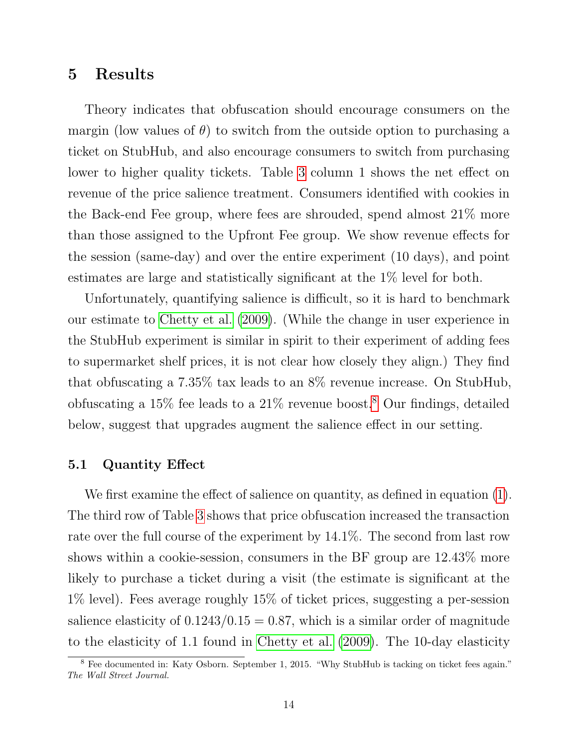## 5 Results

Theory indicates that obfuscation should encourage consumers on the margin (low values of  $\theta$ ) to switch from the outside option to purchasing a ticket on StubHub, and also encourage consumers to switch from purchasing lower to higher quality tickets. Table [3](#page-16-0) column 1 shows the net effect on revenue of the price salience treatment. Consumers identified with cookies in the Back-end Fee group, where fees are shrouded, spend almost 21% more than those assigned to the Upfront Fee group. We show revenue effects for the session (same-day) and over the entire experiment (10 days), and point estimates are large and statistically significant at the 1% level for both.

Unfortunately, quantifying salience is difficult, so it is hard to benchmark our estimate to [Chetty et al.](#page-36-0) [\(2009\)](#page-36-0). (While the change in user experience in the StubHub experiment is similar in spirit to their experiment of adding fees to supermarket shelf prices, it is not clear how closely they align.) They find that obfuscating a 7.35% tax leads to an 8% revenue increase. On StubHub, obfuscating a  $15\%$  fee leads to a  $21\%$  revenue boost.<sup>[8](#page-15-0)</sup> Our findings, detailed below, suggest that upgrades augment the salience effect in our setting.

### 5.1 Quantity Effect

We first examine the effect of salience on quantity, as defined in equation [\(1\)](#page-10-1). The third row of Table [3](#page-16-0) shows that price obfuscation increased the transaction rate over the full course of the experiment by 14.1%. The second from last row shows within a cookie-session, consumers in the BF group are 12.43% more likely to purchase a ticket during a visit (the estimate is significant at the 1% level). Fees average roughly 15% of ticket prices, suggesting a per-session salience elasticity of  $0.1243/0.15 = 0.87$ , which is a similar order of magnitude to the elasticity of 1.1 found in [Chetty et al.](#page-36-0) [\(2009\)](#page-36-0). The 10-day elasticity

<span id="page-15-0"></span><sup>&</sup>lt;sup>8</sup> Fee documented in: Katy Osborn. September 1, 2015. "Why StubHub is tacking on ticket fees again." The Wall Street Journal.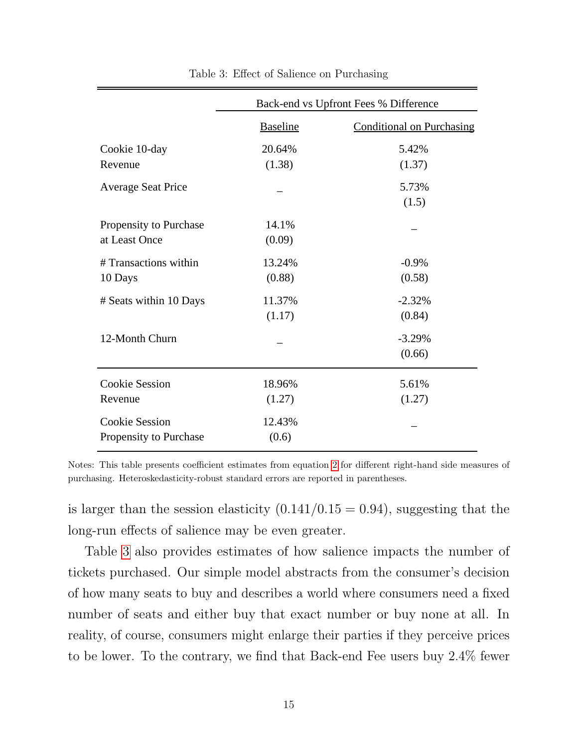<span id="page-16-0"></span>

|                           | Back-end vs Upfront Fees % Difference |                                  |  |
|---------------------------|---------------------------------------|----------------------------------|--|
|                           | <b>Baseline</b>                       | <b>Conditional on Purchasing</b> |  |
| Cookie 10-day             | 20.64%                                | 5.42%                            |  |
| Revenue                   | (1.38)                                | (1.37)                           |  |
| <b>Average Seat Price</b> |                                       | 5.73%                            |  |
|                           |                                       | (1.5)                            |  |
| Propensity to Purchase    | 14.1%                                 |                                  |  |
| at Least Once             | (0.09)                                |                                  |  |
| # Transactions within     | 13.24%                                | $-0.9\%$                         |  |
| 10 Days                   | (0.88)                                | (0.58)                           |  |
| # Seats within 10 Days    | 11.37%                                | $-2.32%$                         |  |
|                           | (1.17)                                | (0.84)                           |  |
| 12-Month Churn            |                                       | $-3.29%$                         |  |
|                           |                                       | (0.66)                           |  |
| <b>Cookie Session</b>     | 18.96%                                | 5.61%                            |  |
| Revenue                   | (1.27)                                | (1.27)                           |  |
| <b>Cookie Session</b>     | 12.43%                                |                                  |  |
| Propensity to Purchase    | (0.6)                                 |                                  |  |

Table 3: Effect of Salience on Purchasing

Notes: This table presents coefficient estimates from equation [2](#page-10-0) for different right-hand side measures of purchasing. Heteroskedasticity-robust standard errors are reported in parentheses.

is larger than the session elasticity  $(0.141/0.15 = 0.94)$ , suggesting that the long-run effects of salience may be even greater.

Table [3](#page-16-0) also provides estimates of how salience impacts the number of tickets purchased. Our simple model abstracts from the consumer's decision of how many seats to buy and describes a world where consumers need a fixed number of seats and either buy that exact number or buy none at all. In reality, of course, consumers might enlarge their parties if they perceive prices to be lower. To the contrary, we find that Back-end Fee users buy 2.4% fewer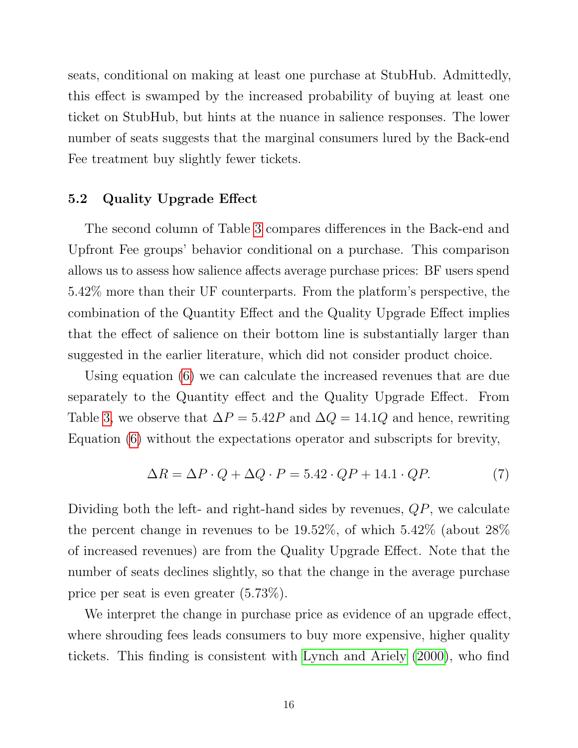seats, conditional on making at least one purchase at StubHub. Admittedly, this effect is swamped by the increased probability of buying at least one ticket on StubHub, but hints at the nuance in salience responses. The lower number of seats suggests that the marginal consumers lured by the Back-end Fee treatment buy slightly fewer tickets.

### <span id="page-17-0"></span>5.2 Quality Upgrade Effect

The second column of Table [3](#page-16-0) compares differences in the Back-end and Upfront Fee groups' behavior conditional on a purchase. This comparison allows us to assess how salience affects average purchase prices: BF users spend 5.42% more than their UF counterparts. From the platform's perspective, the combination of the Quantity Effect and the Quality Upgrade Effect implies that the effect of salience on their bottom line is substantially larger than suggested in the earlier literature, which did not consider product choice.

Using equation [\(6\)](#page-13-2) we can calculate the increased revenues that are due separately to the Quantity effect and the Quality Upgrade Effect. From Table [3,](#page-16-0) we observe that  $\Delta P = 5.42P$  and  $\Delta Q = 14.1Q$  and hence, rewriting Equation [\(6\)](#page-13-2) without the expectations operator and subscripts for brevity,

$$
\Delta R = \Delta P \cdot Q + \Delta Q \cdot P = 5.42 \cdot QP + 14.1 \cdot QP. \tag{7}
$$

Dividing both the left- and right-hand sides by revenues,  $QP$ , we calculate the percent change in revenues to be 19.52%, of which 5.42% (about 28% of increased revenues) are from the Quality Upgrade Effect. Note that the number of seats declines slightly, so that the change in the average purchase price per seat is even greater (5.73%).

We interpret the change in purchase price as evidence of an upgrade effect, where shrouding fees leads consumers to buy more expensive, higher quality tickets. This finding is consistent with [Lynch and Ariely](#page-37-5) [\(2000\)](#page-37-5), who find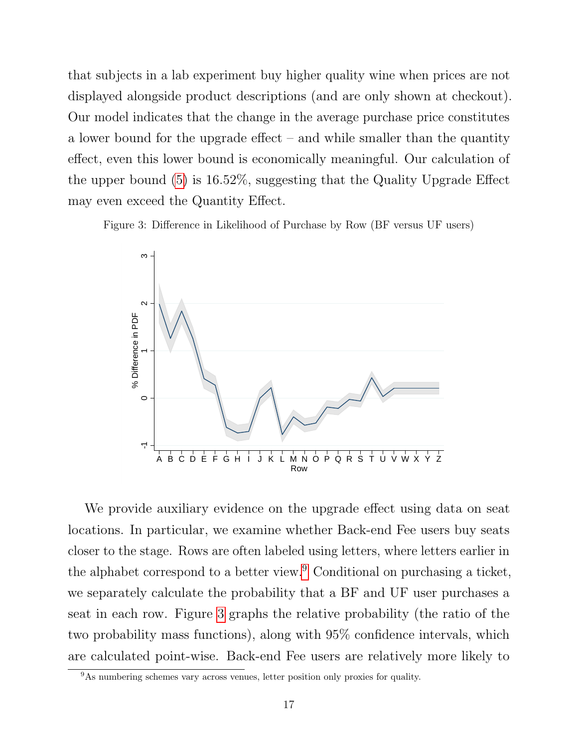that subjects in a lab experiment buy higher quality wine when prices are not displayed alongside product descriptions (and are only shown at checkout). Our model indicates that the change in the average purchase price constitutes a lower bound for the upgrade effect – and while smaller than the quantity effect, even this lower bound is economically meaningful. Our calculation of the upper bound [\(5\)](#page-12-0) is 16.52%, suggesting that the Quality Upgrade Effect may even exceed the Quantity Effect.

<span id="page-18-1"></span>Figure 3: Difference in Likelihood of Purchase by Row (BF versus UF users)



We provide auxiliary evidence on the upgrade effect using data on seat locations. In particular, we examine whether Back-end Fee users buy seats closer to the stage. Rows are often labeled using letters, where letters earlier in the alphabet correspond to a better view.<sup>[9](#page-18-0)</sup> Conditional on purchasing a ticket, we separately calculate the probability that a BF and UF user purchases a seat in each row. Figure [3](#page-18-1) graphs the relative probability (the ratio of the two probability mass functions), along with 95% confidence intervals, which are calculated point-wise. Back-end Fee users are relatively more likely to

<span id="page-18-0"></span> $9As$  numbering schemes vary across venues, letter position only proxies for quality.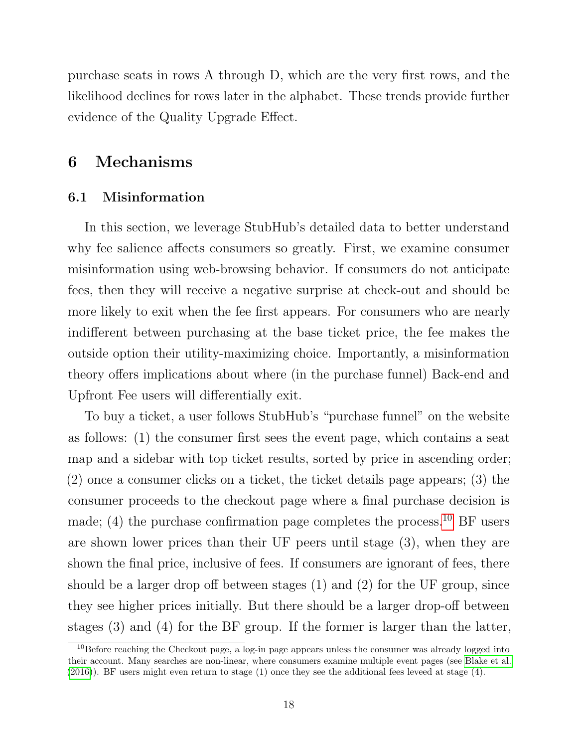purchase seats in rows A through D, which are the very first rows, and the likelihood declines for rows later in the alphabet. These trends provide further evidence of the Quality Upgrade Effect.

# 6 Mechanisms

### 6.1 Misinformation

In this section, we leverage StubHub's detailed data to better understand why fee salience affects consumers so greatly. First, we examine consumer misinformation using web-browsing behavior. If consumers do not anticipate fees, then they will receive a negative surprise at check-out and should be more likely to exit when the fee first appears. For consumers who are nearly indifferent between purchasing at the base ticket price, the fee makes the outside option their utility-maximizing choice. Importantly, a misinformation theory offers implications about where (in the purchase funnel) Back-end and Upfront Fee users will differentially exit.

To buy a ticket, a user follows StubHub's "purchase funnel" on the website as follows: (1) the consumer first sees the event page, which contains a seat map and a sidebar with top ticket results, sorted by price in ascending order; (2) once a consumer clicks on a ticket, the ticket details page appears; (3) the consumer proceeds to the checkout page where a final purchase decision is made; (4) the purchase confirmation page completes the process.<sup>[10](#page-19-0)</sup> BF users are shown lower prices than their UF peers until stage (3), when they are shown the final price, inclusive of fees. If consumers are ignorant of fees, there should be a larger drop off between stages (1) and (2) for the UF group, since they see higher prices initially. But there should be a larger drop-off between stages (3) and (4) for the BF group. If the former is larger than the latter,

<span id="page-19-0"></span><sup>10</sup>Before reaching the Checkout page, a log-in page appears unless the consumer was already logged into their account. Many searches are non-linear, where consumers examine multiple event pages (see [Blake et al.](#page-36-10) [\(2016\)](#page-36-10)). BF users might even return to stage (1) once they see the additional fees leveed at stage (4).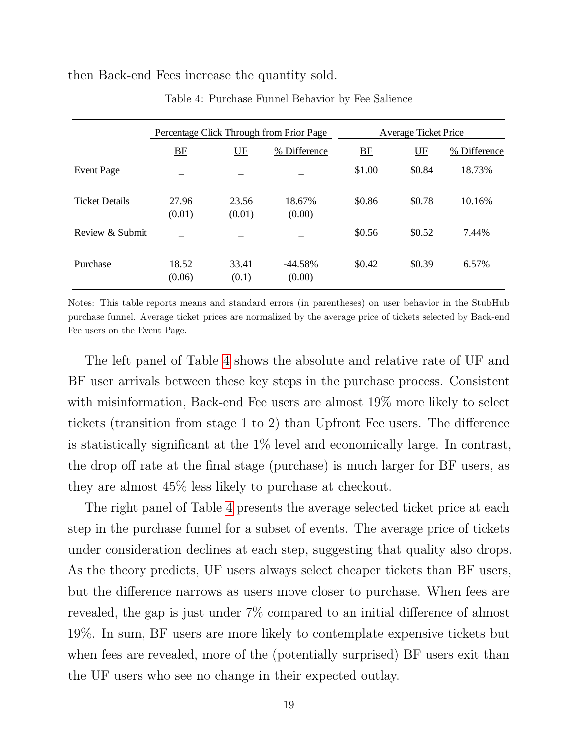#### <span id="page-20-0"></span>then Back-end Fees increase the quantity sold.

|                       | Percentage Click Through from Prior Page |                 |                      | Average Ticket Price |         |              |
|-----------------------|------------------------------------------|-----------------|----------------------|----------------------|---------|--------------|
|                       | BE                                       | $U$ $F$         | % Difference         | BE                   | $U$ $F$ | % Difference |
| <b>Event Page</b>     |                                          |                 |                      | \$1.00               | \$0.84  | 18.73%       |
| <b>Ticket Details</b> | 27.96<br>(0.01)                          | 23.56<br>(0.01) | 18.67%<br>(0.00)     | \$0.86               | \$0.78  | 10.16%       |
| Review $\&$ Submit    |                                          |                 |                      | \$0.56               | \$0.52  | 7.44%        |
| Purchase              | 18.52<br>(0.06)                          | 33.41<br>(0.1)  | $-44.58\%$<br>(0.00) | \$0.42               | \$0.39  | 6.57%        |

Table 4: Purchase Funnel Behavior by Fee Salience

Notes: This table reports means and standard errors (in parentheses) on user behavior in the StubHub purchase funnel. Average ticket prices are normalized by the average price of tickets selected by Back-end Fee users on the Event Page.

The left panel of Table [4](#page-20-0) shows the absolute and relative rate of UF and BF user arrivals between these key steps in the purchase process. Consistent with misinformation, Back-end Fee users are almost 19% more likely to select tickets (transition from stage 1 to 2) than Upfront Fee users. The difference is statistically significant at the 1% level and economically large. In contrast, the drop off rate at the final stage (purchase) is much larger for BF users, as they are almost 45% less likely to purchase at checkout.

The right panel of Table [4](#page-20-0) presents the average selected ticket price at each step in the purchase funnel for a subset of events. The average price of tickets under consideration declines at each step, suggesting that quality also drops. As the theory predicts, UF users always select cheaper tickets than BF users, but the difference narrows as users move closer to purchase. When fees are revealed, the gap is just under 7% compared to an initial difference of almost 19%. In sum, BF users are more likely to contemplate expensive tickets but when fees are revealed, more of the (potentially surprised) BF users exit than the UF users who see no change in their expected outlay.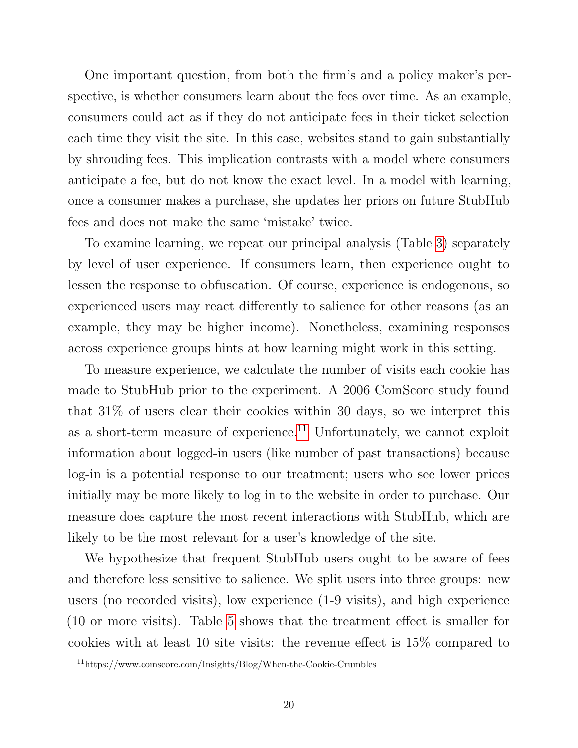One important question, from both the firm's and a policy maker's perspective, is whether consumers learn about the fees over time. As an example, consumers could act as if they do not anticipate fees in their ticket selection each time they visit the site. In this case, websites stand to gain substantially by shrouding fees. This implication contrasts with a model where consumers anticipate a fee, but do not know the exact level. In a model with learning, once a consumer makes a purchase, she updates her priors on future StubHub fees and does not make the same 'mistake' twice.

To examine learning, we repeat our principal analysis (Table [3\)](#page-16-0) separately by level of user experience. If consumers learn, then experience ought to lessen the response to obfuscation. Of course, experience is endogenous, so experienced users may react differently to salience for other reasons (as an example, they may be higher income). Nonetheless, examining responses across experience groups hints at how learning might work in this setting.

To measure experience, we calculate the number of visits each cookie has made to StubHub prior to the experiment. A 2006 ComScore study found that 31% of users clear their cookies within 30 days, so we interpret this as a short-term measure of experience.<sup>[11](#page-21-0)</sup> Unfortunately, we cannot exploit information about logged-in users (like number of past transactions) because log-in is a potential response to our treatment; users who see lower prices initially may be more likely to log in to the website in order to purchase. Our measure does capture the most recent interactions with StubHub, which are likely to be the most relevant for a user's knowledge of the site.

We hypothesize that frequent StubHub users ought to be aware of fees and therefore less sensitive to salience. We split users into three groups: new users (no recorded visits), low experience (1-9 visits), and high experience (10 or more visits). Table [5](#page-22-0) shows that the treatment effect is smaller for cookies with at least 10 site visits: the revenue effect is 15% compared to

<span id="page-21-0"></span><sup>11</sup>https://www.comscore.com/Insights/Blog/When-the-Cookie-Crumbles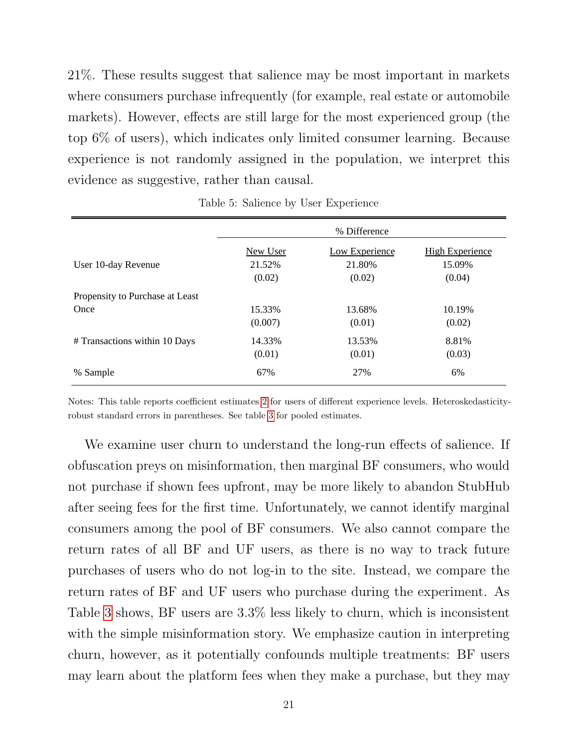21%. These results suggest that salience may be most important in markets where consumers purchase infrequently (for example, real estate or automobile markets). However, effects are still large for the most experienced group (the top 6% of users), which indicates only limited consumer learning. Because experience is not randomly assigned in the population, we interpret this evidence as suggestive, rather than causal.

<span id="page-22-0"></span>

|                                 |                 | % Difference          |                        |
|---------------------------------|-----------------|-----------------------|------------------------|
|                                 | <b>New User</b> | <b>Low Experience</b> | <b>High Experience</b> |
| User 10-day Revenue             | 21.52%          | 21.80%                | 15.09%                 |
|                                 | (0.02)          | (0.02)                | (0.04)                 |
| Propensity to Purchase at Least |                 |                       |                        |
| Once                            | 15.33%          | 13.68%                | 10.19%                 |
|                                 | (0.007)         | (0.01)                | (0.02)                 |
| # Transactions within 10 Days   | 14.33%          | 13.53%                | 8.81%                  |
|                                 | (0.01)          | (0.01)                | (0.03)                 |
| % Sample                        | 67%             | 27%                   | 6%                     |

Table 5: Salience by User Experience

Notes: This table reports coefficient estimates [2](#page-10-0) for users of different experience levels. Heteroskedasticityrobust standard errors in parentheses. See table [3](#page-16-0) for pooled estimates.

We examine user churn to understand the long-run effects of salience. If obfuscation preys on misinformation, then marginal BF consumers, who would not purchase if shown fees upfront, may be more likely to abandon StubHub after seeing fees for the first time. Unfortunately, we cannot identify marginal consumers among the pool of BF consumers. We also cannot compare the return rates of all BF and UF users, as there is no way to track future purchases of users who do not log-in to the site. Instead, we compare the return rates of BF and UF users who purchase during the experiment. As Table [3](#page-16-0) shows, BF users are 3.3% less likely to churn, which is inconsistent with the simple misinformation story. We emphasize caution in interpreting churn, however, as it potentially confounds multiple treatments: BF users may learn about the platform fees when they make a purchase, but they may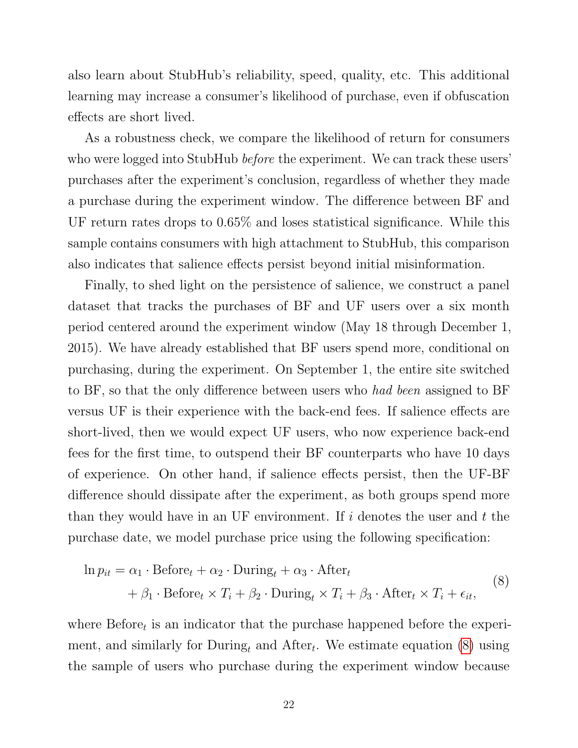also learn about StubHub's reliability, speed, quality, etc. This additional learning may increase a consumer's likelihood of purchase, even if obfuscation effects are short lived.

As a robustness check, we compare the likelihood of return for consumers who were logged into StubHub *before* the experiment. We can track these users' purchases after the experiment's conclusion, regardless of whether they made a purchase during the experiment window. The difference between BF and UF return rates drops to 0.65% and loses statistical significance. While this sample contains consumers with high attachment to StubHub, this comparison also indicates that salience effects persist beyond initial misinformation.

Finally, to shed light on the persistence of salience, we construct a panel dataset that tracks the purchases of BF and UF users over a six month period centered around the experiment window (May 18 through December 1, 2015). We have already established that BF users spend more, conditional on purchasing, during the experiment. On September 1, the entire site switched to BF, so that the only difference between users who had been assigned to BF versus UF is their experience with the back-end fees. If salience effects are short-lived, then we would expect UF users, who now experience back-end fees for the first time, to outspend their BF counterparts who have 10 days of experience. On other hand, if salience effects persist, then the UF-BF difference should dissipate after the experiment, as both groups spend more than they would have in an UF environment. If  $i$  denotes the user and  $t$  the purchase date, we model purchase price using the following specification:

<span id="page-23-0"></span>
$$
\ln p_{it} = \alpha_1 \cdot \text{Before}_t + \alpha_2 \cdot \text{During}_t + \alpha_3 \cdot \text{After}_t + \beta_1 \cdot \text{Before}_t \times T_i + \beta_2 \cdot \text{During}_t \times T_i + \beta_3 \cdot \text{After}_t \times T_i + \epsilon_{it},
$$
\n(8)

where  $Before<sub>t</sub>$  is an indicator that the purchase happened before the experiment, and similarly for  $During_t$  and  $After_t$ . We estimate equation [\(8\)](#page-23-0) using the sample of users who purchase during the experiment window because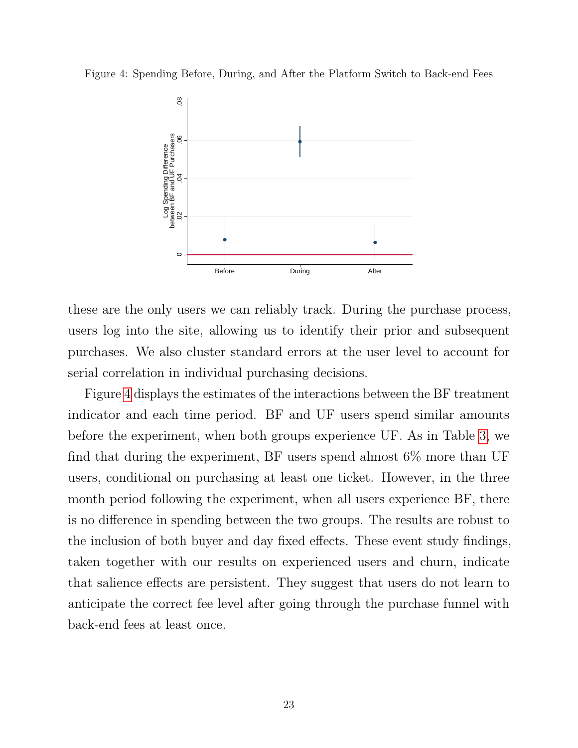<span id="page-24-0"></span>Figure 4: Spending Before, During, and After the Platform Switch to Back-end Fees



these are the only users we can reliably track. During the purchase process, users log into the site, allowing us to identify their prior and subsequent purchases. We also cluster standard errors at the user level to account for serial correlation in individual purchasing decisions.

Figure [4](#page-24-0) displays the estimates of the interactions between the BF treatment indicator and each time period. BF and UF users spend similar amounts before the experiment, when both groups experience UF. As in Table [3,](#page-16-0) we find that during the experiment, BF users spend almost  $6\%$  more than UF users, conditional on purchasing at least one ticket. However, in the three month period following the experiment, when all users experience BF, there is no difference in spending between the two groups. The results are robust to the inclusion of both buyer and day fixed effects. These event study findings, taken together with our results on experienced users and churn, indicate that salience effects are persistent. They suggest that users do not learn to anticipate the correct fee level after going through the purchase funnel with back-end fees at least once.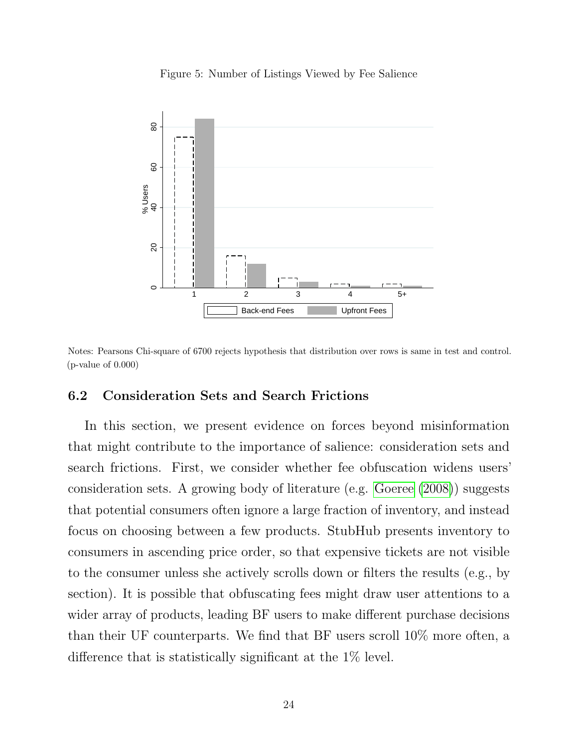Figure 5: Number of Listings Viewed by Fee Salience

<span id="page-25-0"></span>

Notes: Pearsons Chi-square of 6700 rejects hypothesis that distribution over rows is same in test and control.  $(p$ -value of  $0.000)$ 

## 6.2 Consideration Sets and Search Frictions

In this section, we present evidence on forces beyond misinformation that might contribute to the importance of salience: consideration sets and search frictions. First, we consider whether fee obfuscation widens users' consideration sets. A growing body of literature (e.g. [Goeree](#page-36-11) [\(2008\)](#page-36-11)) suggests that potential consumers often ignore a large fraction of inventory, and instead focus on choosing between a few products. StubHub presents inventory to consumers in ascending price order, so that expensive tickets are not visible to the consumer unless she actively scrolls down or filters the results (e.g., by section). It is possible that obfuscating fees might draw user attentions to a wider array of products, leading BF users to make different purchase decisions than their UF counterparts. We find that BF users scroll 10% more often, a difference that is statistically significant at the 1% level.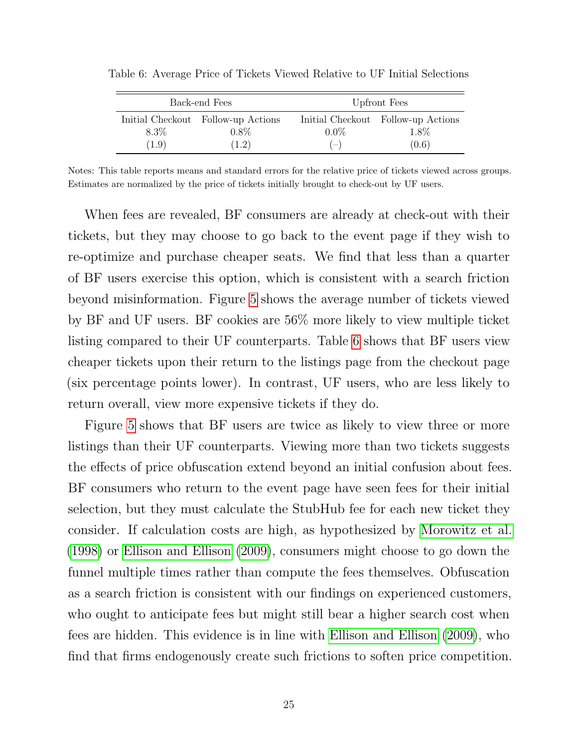| Back-end Fees |                                                        | Upfront Fees     |                                                     |  |
|---------------|--------------------------------------------------------|------------------|-----------------------------------------------------|--|
| 8.3%<br>(1.9) | Initial Checkout Follow-up Actions<br>$0.8\%$<br>(1.2) | $0.0\%$<br>$(-)$ | Initial Checkout Follow-up Actions<br>1.8%<br>(0.6) |  |

<span id="page-26-0"></span>Table 6: Average Price of Tickets Viewed Relative to UF Initial Selections

Notes: This table reports means and standard errors for the relative price of tickets viewed across groups. Estimates are normalized by the price of tickets initially brought to check-out by UF users.

When fees are revealed, BF consumers are already at check-out with their tickets, but they may choose to go back to the event page if they wish to re-optimize and purchase cheaper seats. We find that less than a quarter of BF users exercise this option, which is consistent with a search friction beyond misinformation. Figure [5](#page-25-0) shows the average number of tickets viewed by BF and UF users. BF cookies are 56% more likely to view multiple ticket listing compared to their UF counterparts. Table [6](#page-26-0) shows that BF users view cheaper tickets upon their return to the listings page from the checkout page (six percentage points lower). In contrast, UF users, who are less likely to return overall, view more expensive tickets if they do.

Figure [5](#page-25-0) shows that BF users are twice as likely to view three or more listings than their UF counterparts. Viewing more than two tickets suggests the effects of price obfuscation extend beyond an initial confusion about fees. BF consumers who return to the event page have seen fees for their initial selection, but they must calculate the StubHub fee for each new ticket they consider. If calculation costs are high, as hypothesized by [Morowitz et al.](#page-37-0) [\(1998\)](#page-37-0) or [Ellison and Ellison](#page-36-6) [\(2009\)](#page-36-6), consumers might choose to go down the funnel multiple times rather than compute the fees themselves. Obfuscation as a search friction is consistent with our findings on experienced customers, who ought to anticipate fees but might still bear a higher search cost when fees are hidden. This evidence is in line with [Ellison and Ellison](#page-36-6) [\(2009\)](#page-36-6), who find that firms endogenously create such frictions to soften price competition.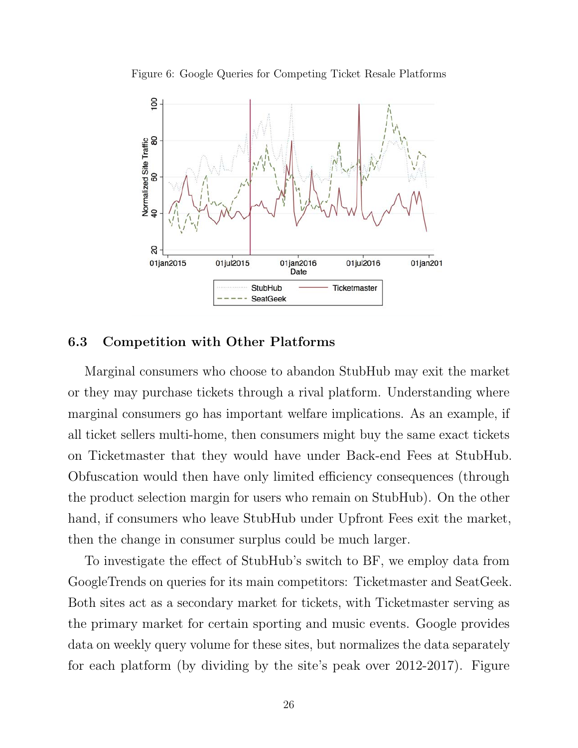Figure 6: Google Queries for Competing Ticket Resale Platforms

<span id="page-27-0"></span>

## 6.3 Competition with Other Platforms

Marginal consumers who choose to abandon StubHub may exit the market or they may purchase tickets through a rival platform. Understanding where marginal consumers go has important welfare implications. As an example, if all ticket sellers multi-home, then consumers might buy the same exact tickets on Ticketmaster that they would have under Back-end Fees at StubHub. Obfuscation would then have only limited efficiency consequences (through the product selection margin for users who remain on StubHub). On the other hand, if consumers who leave StubHub under Upfront Fees exit the market, then the change in consumer surplus could be much larger.

To investigate the effect of StubHub's switch to BF, we employ data from GoogleTrends on queries for its main competitors: Ticketmaster and SeatGeek. Both sites act as a secondary market for tickets, with Ticketmaster serving as the primary market for certain sporting and music events. Google provides data on weekly query volume for these sites, but normalizes the data separately for each platform (by dividing by the site's peak over 2012-2017). Figure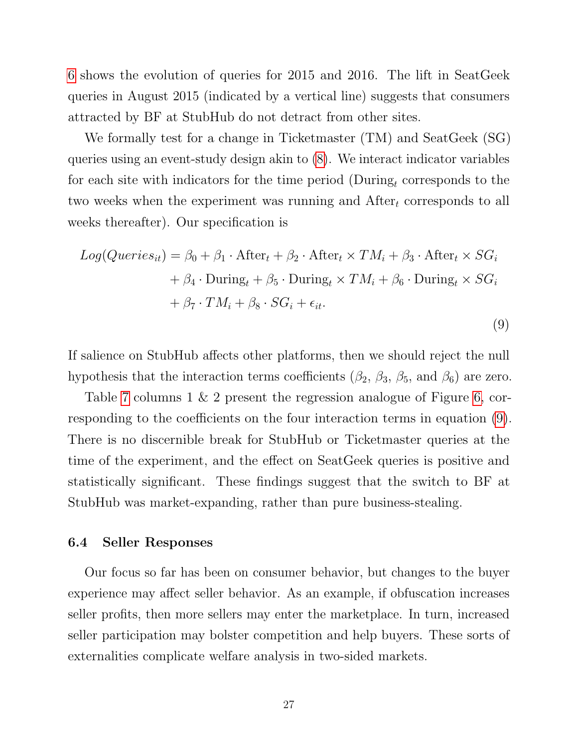[6](#page-27-0) shows the evolution of queries for 2015 and 2016. The lift in SeatGeek queries in August 2015 (indicated by a vertical line) suggests that consumers attracted by BF at StubHub do not detract from other sites.

We formally test for a change in Ticketmaster (TM) and SeatGeek (SG) queries using an event-study design akin to [\(8\)](#page-23-0). We interact indicator variables for each site with indicators for the time period (During<sub>t</sub> corresponds to the two weeks when the experiment was running and  $\text{After}_t$  corresponds to all weeks thereafter). Our specification is

<span id="page-28-0"></span>
$$
Log(Queries_{it}) = \beta_0 + \beta_1 \cdot \text{After}_t + \beta_2 \cdot \text{After}_t \times TM_i + \beta_3 \cdot \text{After}_t \times SG_i
$$
  
+  $\beta_4 \cdot \text{During}_t + \beta_5 \cdot \text{During}_t \times TM_i + \beta_6 \cdot \text{During}_t \times SG_i$   
+  $\beta_7 \cdot TM_i + \beta_8 \cdot SG_i + \epsilon_{it}.$  (9)

If salience on StubHub affects other platforms, then we should reject the null hypothesis that the interaction terms coefficients ( $\beta_2$ ,  $\beta_3$ ,  $\beta_5$ , and  $\beta_6$ ) are zero.

Table [7](#page-29-0) columns 1 & 2 present the regression analogue of Figure [6,](#page-27-0) corresponding to the coefficients on the four interaction terms in equation [\(9\)](#page-28-0). There is no discernible break for StubHub or Ticketmaster queries at the time of the experiment, and the effect on SeatGeek queries is positive and statistically significant. These findings suggest that the switch to BF at StubHub was market-expanding, rather than pure business-stealing.

### <span id="page-28-1"></span>6.4 Seller Responses

Our focus so far has been on consumer behavior, but changes to the buyer experience may affect seller behavior. As an example, if obfuscation increases seller profits, then more sellers may enter the marketplace. In turn, increased seller participation may bolster competition and help buyers. These sorts of externalities complicate welfare analysis in two-sided markets.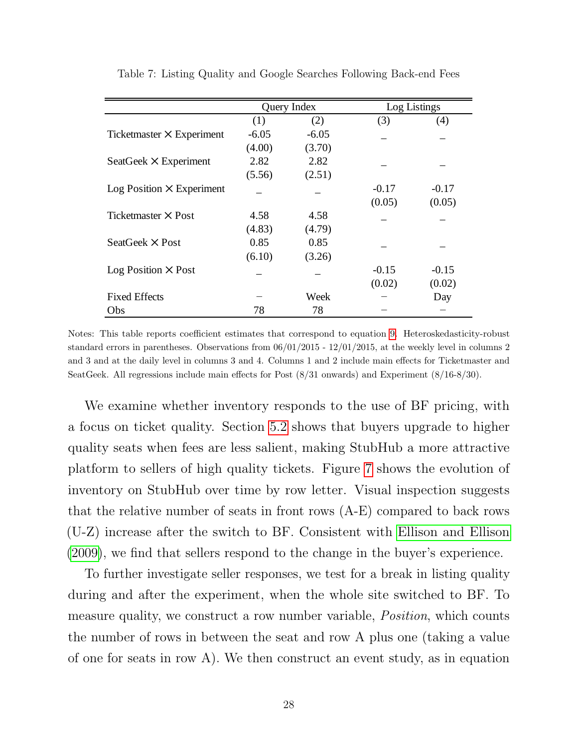<span id="page-29-0"></span>

|                                  | Query Index |         | Log Listings |         |
|----------------------------------|-------------|---------|--------------|---------|
|                                  | (1)         | (2)     | (3)          | (4)     |
| Ticketmaster $\times$ Experiment | $-6.05$     | $-6.05$ |              |         |
|                                  | (4.00)      | (3.70)  |              |         |
| SeatGeek $\times$ Experiment     | 2.82        | 2.82    |              |         |
|                                  | (5.56)      | (2.51)  |              |         |
| $Log Position \times Experiment$ |             |         | $-0.17$      | $-0.17$ |
|                                  |             |         | (0.05)       | (0.05)  |
| Ticketmaster $\times$ Post       | 4.58        | 4.58    |              |         |
|                                  | (4.83)      | (4.79)  |              |         |
| SeatGeek $\times$ Post           | 0.85        | 0.85    |              |         |
|                                  | (6.10)      | (3.26)  |              |         |
| $Log Position \times Post$       |             |         | $-0.15$      | $-0.15$ |
|                                  |             |         | (0.02)       | (0.02)  |
| <b>Fixed Effects</b>             |             | Week    |              | Day     |
| Obs                              | 78          | 78      |              |         |

Table 7: Listing Quality and Google Searches Following Back-end Fees

Notes: This table reports coefficient estimates that correspond to equation [9.](#page-28-0) Heteroskedasticity-robust standard errors in parentheses. Observations from 06/01/2015 - 12/01/2015, at the weekly level in columns 2 and 3 and at the daily level in columns 3 and 4. Columns 1 and 2 include main effects for Ticketmaster and SeatGeek. All regressions include main effects for Post (8/31 onwards) and Experiment (8/16-8/30).

We examine whether inventory responds to the use of BF pricing, with a focus on ticket quality. Section [5.2](#page-17-0) shows that buyers upgrade to higher quality seats when fees are less salient, making StubHub a more attractive platform to sellers of high quality tickets. Figure [7](#page-30-0) shows the evolution of inventory on StubHub over time by row letter. Visual inspection suggests that the relative number of seats in front rows (A-E) compared to back rows (U-Z) increase after the switch to BF. Consistent with [Ellison and Ellison](#page-36-6) [\(2009\)](#page-36-6), we find that sellers respond to the change in the buyer's experience.

To further investigate seller responses, we test for a break in listing quality during and after the experiment, when the whole site switched to BF. To measure quality, we construct a row number variable, *Position*, which counts the number of rows in between the seat and row A plus one (taking a value of one for seats in row A). We then construct an event study, as in equation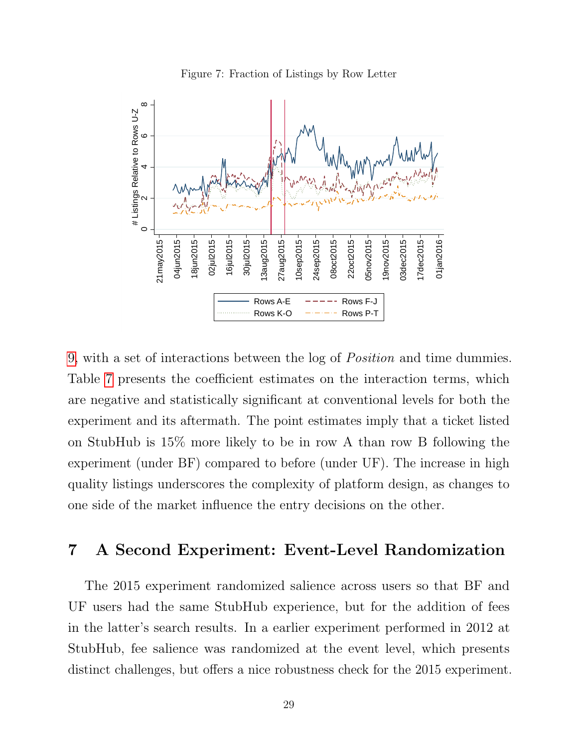<span id="page-30-0"></span>

Figure 7: Fraction of Listings by Row Letter

[9,](#page-28-0) with a set of interactions between the log of Position and time dummies. Table [7](#page-29-0) presents the coefficient estimates on the interaction terms, which are negative and statistically significant at conventional levels for both the experiment and its aftermath. The point estimates imply that a ticket listed on StubHub is 15% more likely to be in row A than row B following the experiment (under BF) compared to before (under UF). The increase in high quality listings underscores the complexity of platform design, as changes to one side of the market influence the entry decisions on the other.

## 7 A Second Experiment: Event-Level Randomization

The 2015 experiment randomized salience across users so that BF and UF users had the same StubHub experience, but for the addition of fees in the latter's search results. In a earlier experiment performed in 2012 at StubHub, fee salience was randomized at the event level, which presents distinct challenges, but offers a nice robustness check for the 2015 experiment.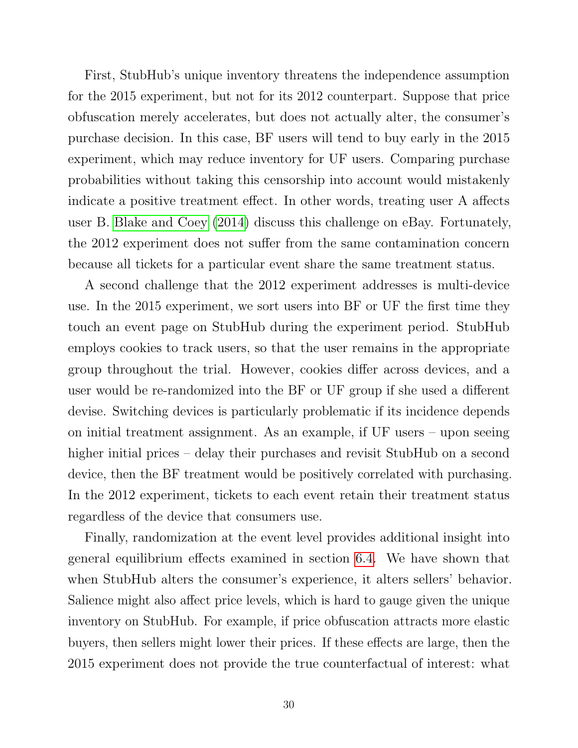First, StubHub's unique inventory threatens the independence assumption for the 2015 experiment, but not for its 2012 counterpart. Suppose that price obfuscation merely accelerates, but does not actually alter, the consumer's purchase decision. In this case, BF users will tend to buy early in the 2015 experiment, which may reduce inventory for UF users. Comparing purchase probabilities without taking this censorship into account would mistakenly indicate a positive treatment effect. In other words, treating user A affects user B. [Blake and Coey](#page-36-12) [\(2014\)](#page-36-12) discuss this challenge on eBay. Fortunately, the 2012 experiment does not suffer from the same contamination concern because all tickets for a particular event share the same treatment status.

A second challenge that the 2012 experiment addresses is multi-device use. In the 2015 experiment, we sort users into BF or UF the first time they touch an event page on StubHub during the experiment period. StubHub employs cookies to track users, so that the user remains in the appropriate group throughout the trial. However, cookies differ across devices, and a user would be re-randomized into the BF or UF group if she used a different devise. Switching devices is particularly problematic if its incidence depends on initial treatment assignment. As an example, if UF users – upon seeing higher initial prices – delay their purchases and revisit StubHub on a second device, then the BF treatment would be positively correlated with purchasing. In the 2012 experiment, tickets to each event retain their treatment status regardless of the device that consumers use.

Finally, randomization at the event level provides additional insight into general equilibrium effects examined in section [6.4.](#page-28-1) We have shown that when StubHub alters the consumer's experience, it alters sellers' behavior. Salience might also affect price levels, which is hard to gauge given the unique inventory on StubHub. For example, if price obfuscation attracts more elastic buyers, then sellers might lower their prices. If these effects are large, then the 2015 experiment does not provide the true counterfactual of interest: what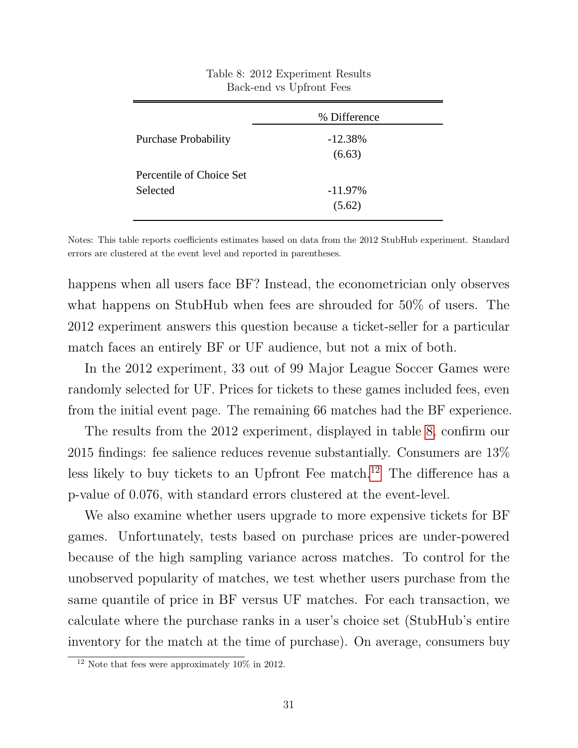<span id="page-32-0"></span>

|                             | % Difference |  |  |
|-----------------------------|--------------|--|--|
| <b>Purchase Probability</b> | $-12.38%$    |  |  |
|                             | (6.63)       |  |  |
| Percentile of Choice Set    |              |  |  |
| Selected                    | $-11.97\%$   |  |  |
|                             | (5.62)       |  |  |

Table 8: 2012 Experiment Results Back-end vs Upfront Fees

Notes: This table reports coefficients estimates based on data from the 2012 StubHub experiment. Standard errors are clustered at the event level and reported in parentheses.

happens when all users face BF? Instead, the econometrician only observes what happens on StubHub when fees are shrouded for 50% of users. The 2012 experiment answers this question because a ticket-seller for a particular match faces an entirely BF or UF audience, but not a mix of both.

In the 2012 experiment, 33 out of 99 Major League Soccer Games were randomly selected for UF. Prices for tickets to these games included fees, even from the initial event page. The remaining 66 matches had the BF experience.

The results from the 2012 experiment, displayed in table [8,](#page-32-0) confirm our 2015 findings: fee salience reduces revenue substantially. Consumers are 13% less likely to buy tickets to an Upfront Fee match.<sup>[12](#page-32-1)</sup> The difference has a p-value of 0.076, with standard errors clustered at the event-level.

We also examine whether users upgrade to more expensive tickets for BF games. Unfortunately, tests based on purchase prices are under-powered because of the high sampling variance across matches. To control for the unobserved popularity of matches, we test whether users purchase from the same quantile of price in BF versus UF matches. For each transaction, we calculate where the purchase ranks in a user's choice set (StubHub's entire inventory for the match at the time of purchase). On average, consumers buy

<span id="page-32-1"></span><sup>&</sup>lt;sup>12</sup> Note that fees were approximately  $10\%$  in 2012.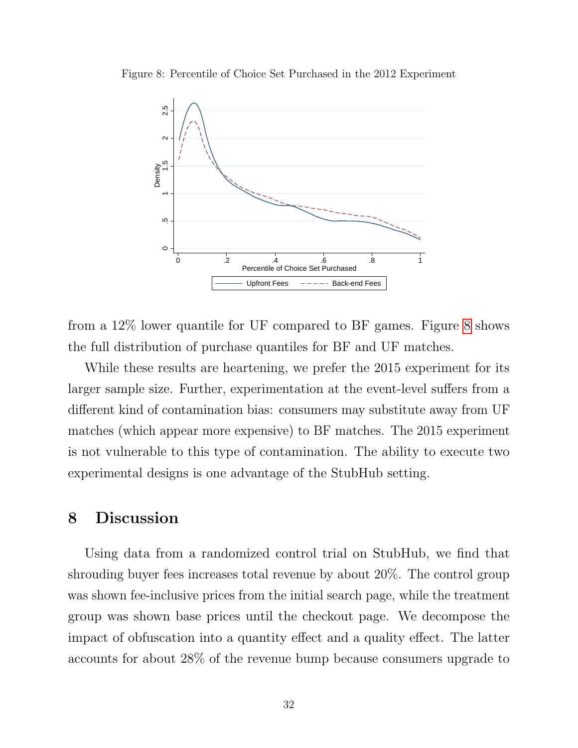<span id="page-33-0"></span>



from a 12% lower quantile for UF compared to BF games. Figure [8](#page-33-0) shows the full distribution of purchase quantiles for BF and UF matches.

While these results are heartening, we prefer the 2015 experiment for its larger sample size. Further, experimentation at the event-level suffers from a different kind of contamination bias: consumers may substitute away from UF matches (which appear more expensive) to BF matches. The 2015 experiment is not vulnerable to this type of contamination. The ability to execute two experimental designs is one advantage of the StubHub setting.

# 8 Discussion

Using data from a randomized control trial on StubHub, we find that shrouding buyer fees increases total revenue by about 20%. The control group was shown fee-inclusive prices from the initial search page, while the treatment group was shown base prices until the checkout page. We decompose the impact of obfuscation into a quantity effect and a quality effect. The latter accounts for about 28% of the revenue bump because consumers upgrade to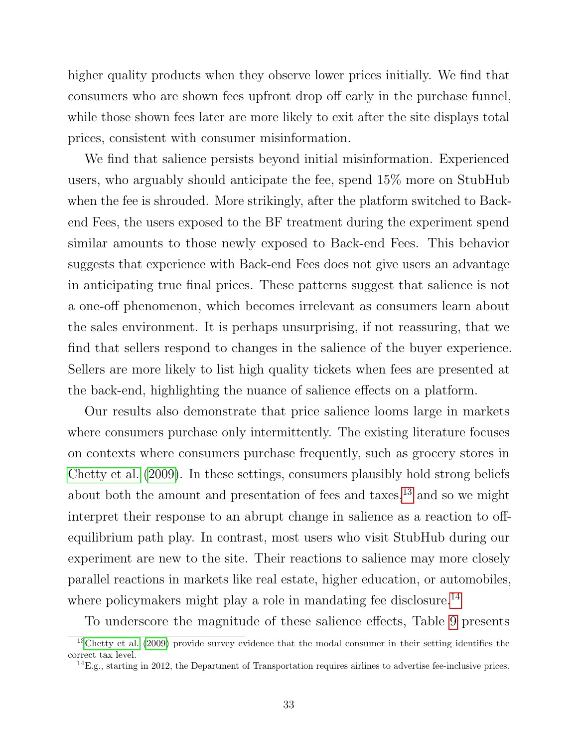higher quality products when they observe lower prices initially. We find that consumers who are shown fees upfront drop off early in the purchase funnel, while those shown fees later are more likely to exit after the site displays total prices, consistent with consumer misinformation.

We find that salience persists beyond initial misinformation. Experienced users, who arguably should anticipate the fee, spend 15% more on StubHub when the fee is shrouded. More strikingly, after the platform switched to Backend Fees, the users exposed to the BF treatment during the experiment spend similar amounts to those newly exposed to Back-end Fees. This behavior suggests that experience with Back-end Fees does not give users an advantage in anticipating true final prices. These patterns suggest that salience is not a one-off phenomenon, which becomes irrelevant as consumers learn about the sales environment. It is perhaps unsurprising, if not reassuring, that we find that sellers respond to changes in the salience of the buyer experience. Sellers are more likely to list high quality tickets when fees are presented at the back-end, highlighting the nuance of salience effects on a platform.

Our results also demonstrate that price salience looms large in markets where consumers purchase only intermittently. The existing literature focuses on contexts where consumers purchase frequently, such as grocery stores in [Chetty et al.](#page-36-0) [\(2009\)](#page-36-0). In these settings, consumers plausibly hold strong beliefs about both the amount and presentation of fees and taxes,  $^{13}$  $^{13}$  $^{13}$  and so we might interpret their response to an abrupt change in salience as a reaction to offequilibrium path play. In contrast, most users who visit StubHub during our experiment are new to the site. Their reactions to salience may more closely parallel reactions in markets like real estate, higher education, or automobiles, where policy<br>makers might play a role in mandating fee disclosure.<br> $^{14}$  $^{14}$  $^{14}$ 

To underscore the magnitude of these salience effects, Table [9](#page-35-0) presents

<span id="page-34-0"></span><sup>&</sup>lt;sup>13</sup>[Chetty et al.](#page-36-0) [\(2009\)](#page-36-0) provide survey evidence that the modal consumer in their setting identifies the correct tax level.

<span id="page-34-1"></span> $^{14}E.g.,$  starting in 2012, the Department of Transportation requires airlines to advertise fee-inclusive prices.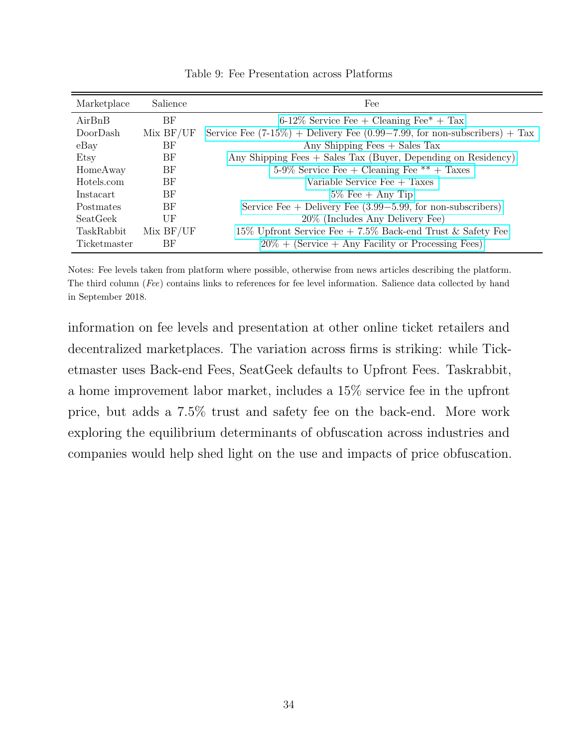<span id="page-35-0"></span>

| Marketplace       | Salience | Fee                                                                              |
|-------------------|----------|----------------------------------------------------------------------------------|
| AirBnB            | BF       | $6-12\%$ Service Fee + Cleaning Fee <sup>*</sup> + Tax                           |
| DoorDash          | MixBF/UF | Service Fee $(7-15\%)$ + Delivery Fee $(0.99-7.99)$ , for non-subscribers) + Tax |
| $e$ Bay           | ΒF       | Any Shipping Fees $+$ Sales Tax                                                  |
| Etsy              | ΒF       | Any Shipping Fees + Sales Tax (Buyer, Depending on Residency)                    |
| HomeAway          | ΒF       | $5-9\%$ Service Fee + Cleaning Fee ** + Taxes                                    |
| Hotels.com        | ΒF       | Variable Service Fee $+$ Taxes                                                   |
| Instacart         | BF       | $5\%$ Fee + Any Tip                                                              |
| Postmates         | BF       | Service Fee $+$ Delivery Fee $(3.99-5.99, \text{ for non-subscripts})$           |
| SeatGeek          | UF       | 20% (Includes Any Delivery Fee)                                                  |
| <b>TaskRabbit</b> | MixBF/UF | 15% Upfront Service Fee $+ 7.5\%$ Back-end Trust & Safety Fee                    |
| Ticketmaster      | ΒF       | $20\% +$ (Service + Any Facility or Processing Fees)                             |

Table 9: Fee Presentation across Platforms

Notes: Fee levels taken from platform where possible, otherwise from news articles describing the platform. The third column (Fee) contains links to references for fee level information. Salience data collected by hand in September 2018.

information on fee levels and presentation at other online ticket retailers and decentralized marketplaces. The variation across firms is striking: while Ticketmaster uses Back-end Fees, SeatGeek defaults to Upfront Fees. Taskrabbit, a home improvement labor market, includes a 15% service fee in the upfront price, but adds a 7.5% trust and safety fee on the back-end. More work exploring the equilibrium determinants of obfuscation across industries and companies would help shed light on the use and impacts of price obfuscation.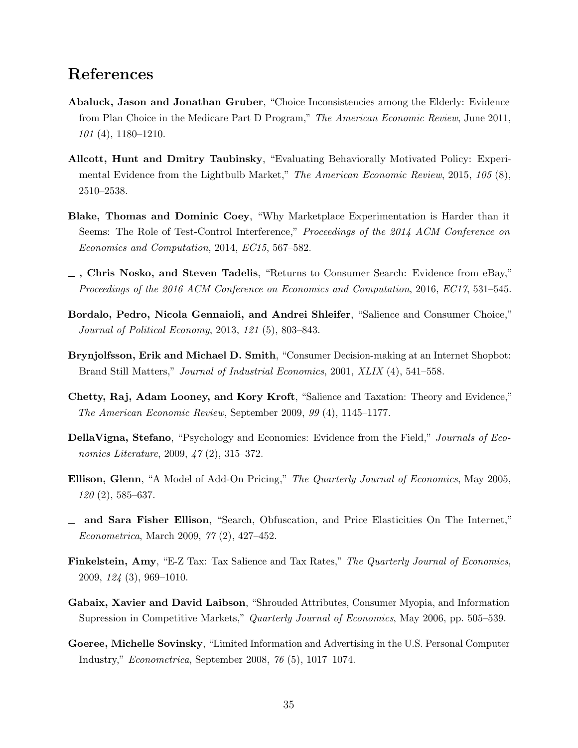## References

- <span id="page-36-3"></span>Abaluck, Jason and Jonathan Gruber, "Choice Inconsistencies among the Elderly: Evidence from Plan Choice in the Medicare Part D Program," The American Economic Review, June 2011, 101 (4), 1180–1210.
- <span id="page-36-2"></span>Allcott, Hunt and Dmitry Taubinsky, "Evaluating Behaviorally Motivated Policy: Experimental Evidence from the Lightbulb Market," The American Economic Review, 2015, 105 (8), 2510–2538.
- <span id="page-36-12"></span>Blake, Thomas and Dominic Coey, "Why Marketplace Experimentation is Harder than it Seems: The Role of Test-Control Interference," Proceedings of the 2014 ACM Conference on Economics and Computation, 2014, EC15, 567–582.
- <span id="page-36-10"></span>, Chris Nosko, and Steven Tadelis, "Returns to Consumer Search: Evidence from eBay," Proceedings of the 2016 ACM Conference on Economics and Computation, 2016, EC17, 531–545.
- <span id="page-36-5"></span>Bordalo, Pedro, Nicola Gennaioli, and Andrei Shleifer, "Salience and Consumer Choice," Journal of Political Economy, 2013, 121 (5), 803–843.
- <span id="page-36-1"></span>Brynjolfsson, Erik and Michael D. Smith, "Consumer Decision-making at an Internet Shopbot: Brand Still Matters," Journal of Industrial Economics, 2001, XLIX (4), 541–558.
- <span id="page-36-0"></span>Chetty, Raj, Adam Looney, and Kory Kroft, "Salience and Taxation: Theory and Evidence," The American Economic Review, September 2009, 99 (4), 1145–1177.
- <span id="page-36-4"></span>DellaVigna, Stefano, "Psychology and Economics: Evidence from the Field," Journals of Economics Literature, 2009, 47 (2), 315–372.
- <span id="page-36-7"></span>Ellison, Glenn, "A Model of Add-On Pricing," The Quarterly Journal of Economics, May 2005,  $120(2)$ , 585–637.
- <span id="page-36-6"></span>and Sara Fisher Ellison, "Search, Obfuscation, and Price Elasticities On The Internet," Econometrica, March 2009, 77 (2), 427–452.
- <span id="page-36-9"></span>Finkelstein, Amy, "E-Z Tax: Tax Salience and Tax Rates," The Quarterly Journal of Economics, 2009, 124 (3), 969–1010.
- <span id="page-36-8"></span>Gabaix, Xavier and David Laibson, "Shrouded Attributes, Consumer Myopia, and Information Supression in Competitive Markets," Quarterly Journal of Economics, May 2006, pp. 505–539.
- <span id="page-36-11"></span>Goeree, Michelle Sovinsky, "Limited Information and Advertising in the U.S. Personal Computer Industry," Econometrica, September 2008, 76 (5), 1017–1074.